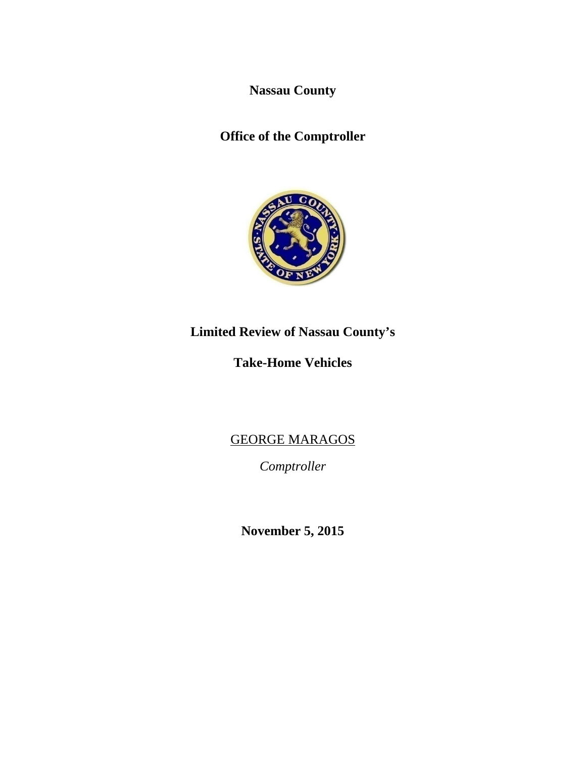**Nassau County** 

**Office of the Comptroller** 



# **Limited Review of Nassau County's**

# **Take-Home Vehicles**

GEORGE MARAGOS

*Comptroller* 

**November 5, 2015**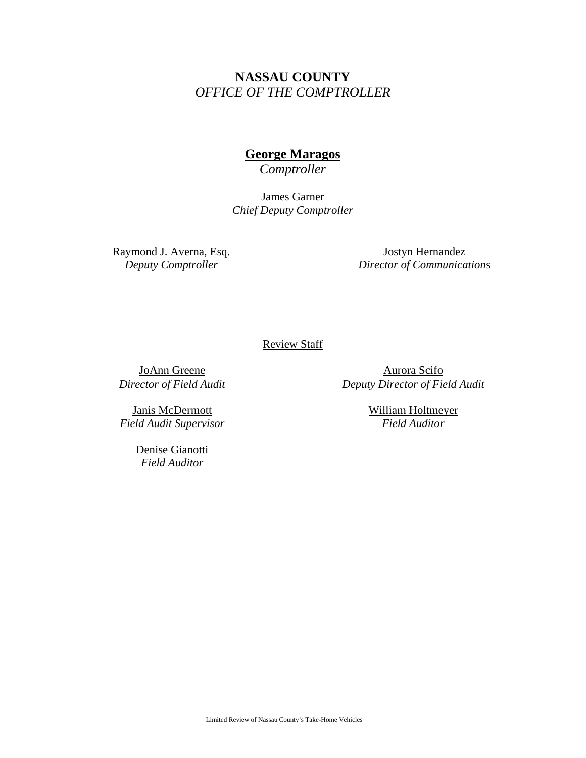# **NASSAU COUNTY**  *OFFICE OF THE COMPTROLLER*

# **George Maragos**

*Comptroller* 

James Garner *Chief Deputy Comptroller* 

Raymond J. Averna, Esq. *Deputy Comptroller* 

Jostyn Hernandez *Director of Communications* 

### Review Staff

JoAnn Greene *Director of Field Audit* 

Janis McDermott *Field Audit Supervisor* 

> Denise Gianotti *Field Auditor*

Aurora Scifo *Deputy Director of Field Audit*

> William Holtmeyer *Field Auditor*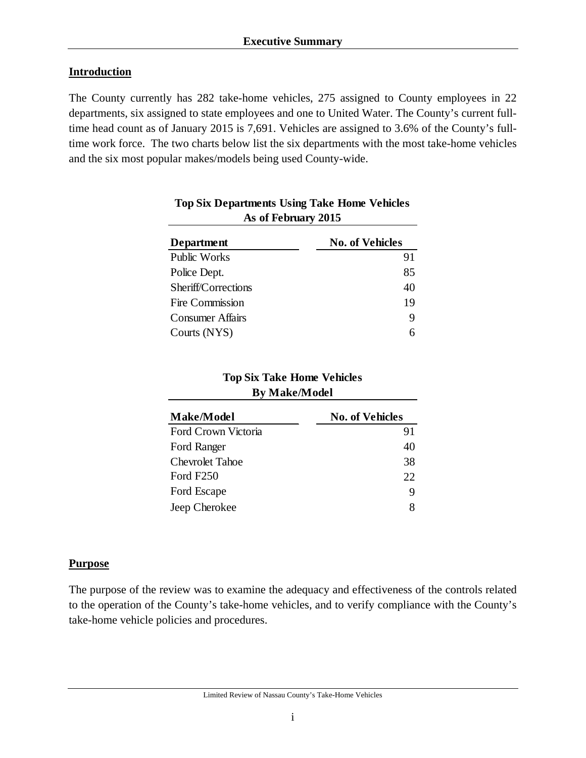## **Introduction**

The County currently has 282 take-home vehicles, 275 assigned to County employees in 22 departments, six assigned to state employees and one to United Water. The County's current fulltime head count as of January 2015 is 7,691. Vehicles are assigned to 3.6% of the County's fulltime work force. The two charts below list the six departments with the most take-home vehicles and the six most popular makes/models being used County-wide.

| AS OI FUDIUAI V 4015    |                        |  |  |
|-------------------------|------------------------|--|--|
| <b>Department</b>       | <b>No. of Vehicles</b> |  |  |
| <b>Public Works</b>     | 91                     |  |  |
| Police Dept.            | 85                     |  |  |
| Sheriff/Corrections     | 40                     |  |  |
| Fire Commission         | 19                     |  |  |
| <b>Consumer Affairs</b> | 9                      |  |  |
| Courts (NYS)            |                        |  |  |

## **Top Six Departments Using Take Home Vehicles As of February 2015**

## **Top Six Take Home Vehicles By Make/Model**

| <b>Make/Model</b>      | <b>No. of Vehicles</b> |
|------------------------|------------------------|
| Ford Crown Victoria    | 91                     |
| Ford Ranger            | 40                     |
| <b>Chevrolet Tahoe</b> | 38                     |
| Ford F250              | 22                     |
| Ford Escape            | 9                      |
| Jeep Cherokee          |                        |

## **Purpose**

The purpose of the review was to examine the adequacy and effectiveness of the controls related to the operation of the County's take-home vehicles, and to verify compliance with the County's take-home vehicle policies and procedures.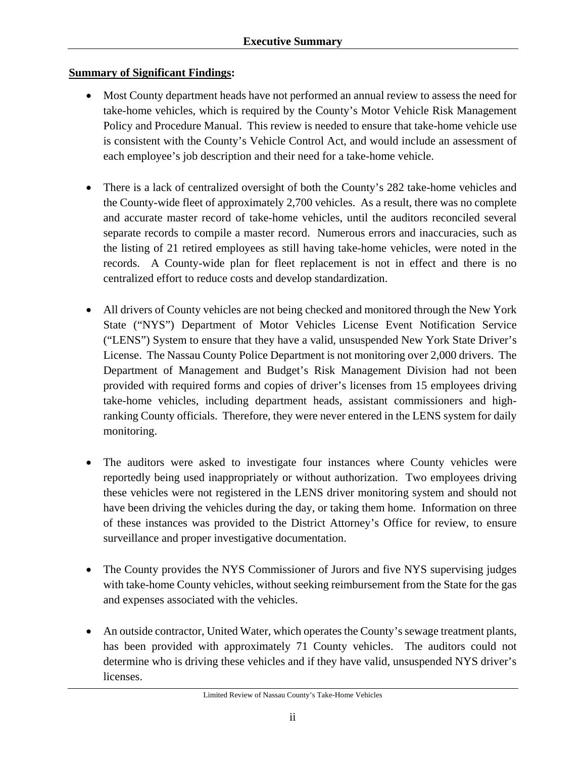## **Summary of Significant Findings:**

- Most County department heads have not performed an annual review to assess the need for take-home vehicles, which is required by the County's Motor Vehicle Risk Management Policy and Procedure Manual. This review is needed to ensure that take-home vehicle use is consistent with the County's Vehicle Control Act, and would include an assessment of each employee's job description and their need for a take-home vehicle.
- There is a lack of centralized oversight of both the County's 282 take-home vehicles and the County-wide fleet of approximately 2,700 vehicles. As a result, there was no complete and accurate master record of take-home vehicles, until the auditors reconciled several separate records to compile a master record. Numerous errors and inaccuracies, such as the listing of 21 retired employees as still having take-home vehicles, were noted in the records. A County-wide plan for fleet replacement is not in effect and there is no centralized effort to reduce costs and develop standardization.
- All drivers of County vehicles are not being checked and monitored through the New York State ("NYS") Department of Motor Vehicles License Event Notification Service ("LENS") System to ensure that they have a valid, unsuspended New York State Driver's License. The Nassau County Police Department is not monitoring over 2,000 drivers. The Department of Management and Budget's Risk Management Division had not been provided with required forms and copies of driver's licenses from 15 employees driving take-home vehicles, including department heads, assistant commissioners and highranking County officials. Therefore, they were never entered in the LENS system for daily monitoring.
- The auditors were asked to investigate four instances where County vehicles were reportedly being used inappropriately or without authorization. Two employees driving these vehicles were not registered in the LENS driver monitoring system and should not have been driving the vehicles during the day, or taking them home. Information on three of these instances was provided to the District Attorney's Office for review, to ensure surveillance and proper investigative documentation.
- The County provides the NYS Commissioner of Jurors and five NYS supervising judges with take-home County vehicles, without seeking reimbursement from the State for the gas and expenses associated with the vehicles.
- An outside contractor, United Water, which operates the County's sewage treatment plants, has been provided with approximately 71 County vehicles. The auditors could not determine who is driving these vehicles and if they have valid, unsuspended NYS driver's licenses.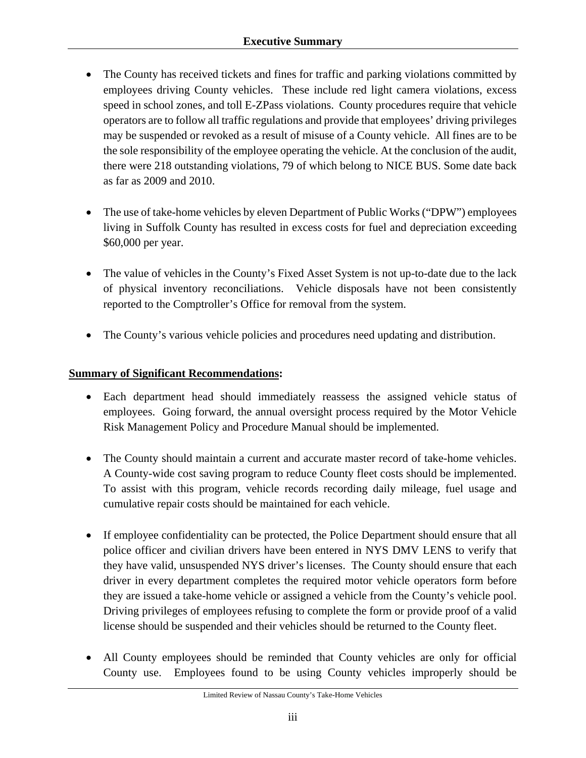- The County has received tickets and fines for traffic and parking violations committed by employees driving County vehicles. These include red light camera violations, excess speed in school zones, and toll E-ZPass violations. County procedures require that vehicle operators are to follow all traffic regulations and provide that employees' driving privileges may be suspended or revoked as a result of misuse of a County vehicle. All fines are to be the sole responsibility of the employee operating the vehicle. At the conclusion of the audit, there were 218 outstanding violations, 79 of which belong to NICE BUS. Some date back as far as 2009 and 2010.
- The use of take-home vehicles by eleven Department of Public Works ("DPW") employees living in Suffolk County has resulted in excess costs for fuel and depreciation exceeding \$60,000 per year.
- The value of vehicles in the County's Fixed Asset System is not up-to-date due to the lack of physical inventory reconciliations. Vehicle disposals have not been consistently reported to the Comptroller's Office for removal from the system.
- The County's various vehicle policies and procedures need updating and distribution.

## **Summary of Significant Recommendations:**

- Each department head should immediately reassess the assigned vehicle status of employees. Going forward, the annual oversight process required by the Motor Vehicle Risk Management Policy and Procedure Manual should be implemented.
- The County should maintain a current and accurate master record of take-home vehicles. A County-wide cost saving program to reduce County fleet costs should be implemented. To assist with this program, vehicle records recording daily mileage, fuel usage and cumulative repair costs should be maintained for each vehicle.
- If employee confidentiality can be protected, the Police Department should ensure that all police officer and civilian drivers have been entered in NYS DMV LENS to verify that they have valid, unsuspended NYS driver's licenses. The County should ensure that each driver in every department completes the required motor vehicle operators form before they are issued a take-home vehicle or assigned a vehicle from the County's vehicle pool. Driving privileges of employees refusing to complete the form or provide proof of a valid license should be suspended and their vehicles should be returned to the County fleet.
- All County employees should be reminded that County vehicles are only for official County use. Employees found to be using County vehicles improperly should be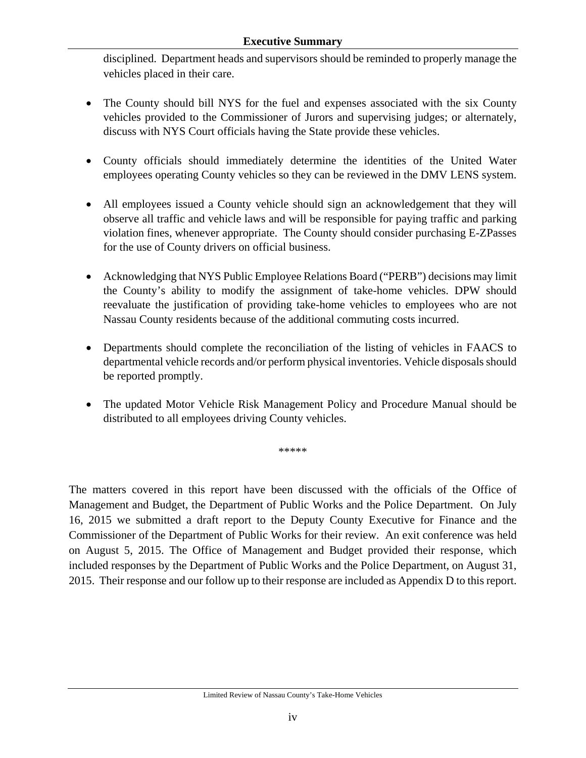#### **Executive Summary**

disciplined. Department heads and supervisors should be reminded to properly manage the vehicles placed in their care.

- The County should bill NYS for the fuel and expenses associated with the six County vehicles provided to the Commissioner of Jurors and supervising judges; or alternately, discuss with NYS Court officials having the State provide these vehicles.
- County officials should immediately determine the identities of the United Water employees operating County vehicles so they can be reviewed in the DMV LENS system.
- All employees issued a County vehicle should sign an acknowledgement that they will observe all traffic and vehicle laws and will be responsible for paying traffic and parking violation fines, whenever appropriate. The County should consider purchasing E-ZPasses for the use of County drivers on official business.
- Acknowledging that NYS Public Employee Relations Board ("PERB") decisions may limit the County's ability to modify the assignment of take-home vehicles. DPW should reevaluate the justification of providing take-home vehicles to employees who are not Nassau County residents because of the additional commuting costs incurred.
- Departments should complete the reconciliation of the listing of vehicles in FAACS to departmental vehicle records and/or perform physical inventories. Vehicle disposals should be reported promptly.
- The updated Motor Vehicle Risk Management Policy and Procedure Manual should be distributed to all employees driving County vehicles.

\*\*\*\*\*

The matters covered in this report have been discussed with the officials of the Office of Management and Budget, the Department of Public Works and the Police Department. On July 16, 2015 we submitted a draft report to the Deputy County Executive for Finance and the Commissioner of the Department of Public Works for their review. An exit conference was held on August 5, 2015. The Office of Management and Budget provided their response, which included responses by the Department of Public Works and the Police Department, on August 31, 2015. Their response and our follow up to their response are included as Appendix D to this report.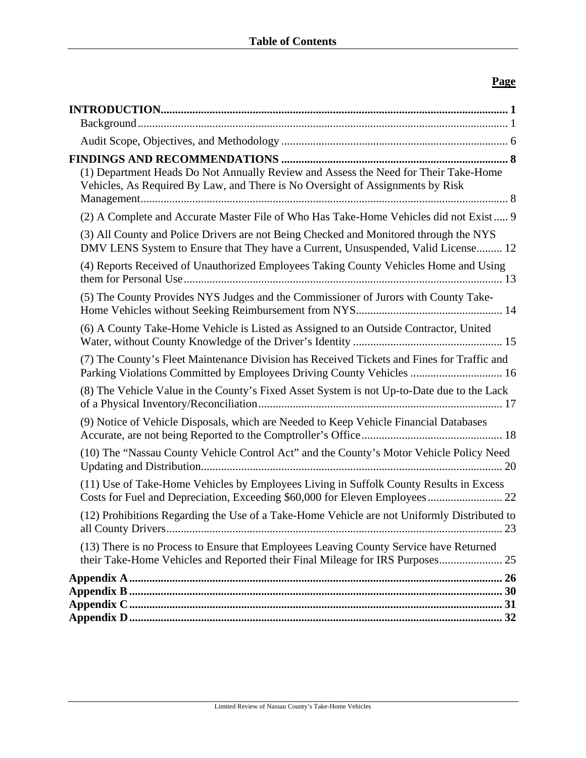## **Page**

| (1) Department Heads Do Not Annually Review and Assess the Need for Their Take-Home<br>Vehicles, As Required By Law, and There is No Oversight of Assignments by Risk      |
|----------------------------------------------------------------------------------------------------------------------------------------------------------------------------|
| (2) A Complete and Accurate Master File of Who Has Take-Home Vehicles did not Exist 9                                                                                      |
| (3) All County and Police Drivers are not Being Checked and Monitored through the NYS<br>DMV LENS System to Ensure that They have a Current, Unsuspended, Valid License 12 |
| (4) Reports Received of Unauthorized Employees Taking County Vehicles Home and Using                                                                                       |
| (5) The County Provides NYS Judges and the Commissioner of Jurors with County Take-                                                                                        |
| (6) A County Take-Home Vehicle is Listed as Assigned to an Outside Contractor, United                                                                                      |
| (7) The County's Fleet Maintenance Division has Received Tickets and Fines for Traffic and<br>Parking Violations Committed by Employees Driving County Vehicles  16        |
| (8) The Vehicle Value in the County's Fixed Asset System is not Up-to-Date due to the Lack                                                                                 |
| (9) Notice of Vehicle Disposals, which are Needed to Keep Vehicle Financial Databases                                                                                      |
| (10) The "Nassau County Vehicle Control Act" and the County's Motor Vehicle Policy Need                                                                                    |
| (11) Use of Take-Home Vehicles by Employees Living in Suffolk County Results in Excess<br>Costs for Fuel and Depreciation, Exceeding \$60,000 for Eleven Employees 22      |
| (12) Prohibitions Regarding the Use of a Take-Home Vehicle are not Uniformly Distributed to                                                                                |
| (13) There is no Process to Ensure that Employees Leaving County Service have Returned<br>their Take-Home Vehicles and Reported their Final Mileage for IRS Purposes<br>25 |
|                                                                                                                                                                            |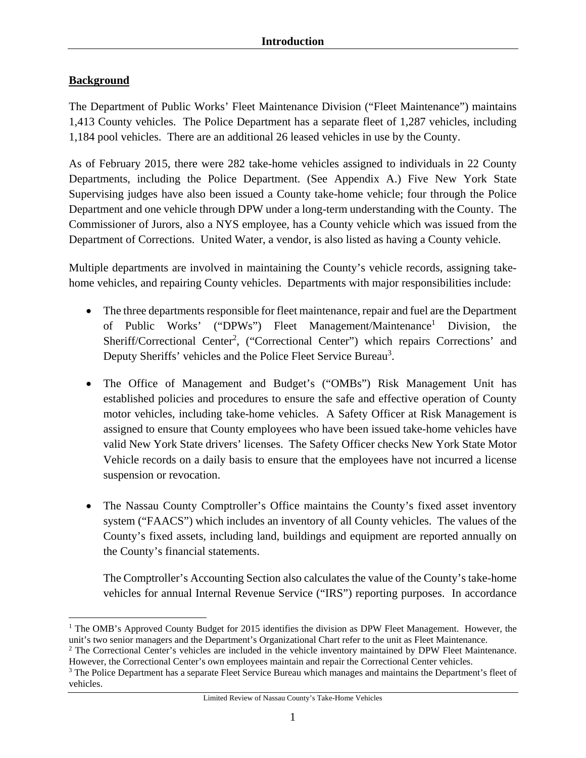## **Background**

The Department of Public Works' Fleet Maintenance Division ("Fleet Maintenance") maintains 1,413 County vehicles. The Police Department has a separate fleet of 1,287 vehicles, including 1,184 pool vehicles. There are an additional 26 leased vehicles in use by the County.

As of February 2015, there were 282 take-home vehicles assigned to individuals in 22 County Departments, including the Police Department. (See Appendix A.) Five New York State Supervising judges have also been issued a County take-home vehicle; four through the Police Department and one vehicle through DPW under a long-term understanding with the County. The Commissioner of Jurors, also a NYS employee, has a County vehicle which was issued from the Department of Corrections. United Water, a vendor, is also listed as having a County vehicle.

Multiple departments are involved in maintaining the County's vehicle records, assigning takehome vehicles, and repairing County vehicles. Departments with major responsibilities include:

- The three departments responsible for fleet maintenance, repair and fuel are the Department of Public Works' ("DPWs") Fleet Management/Maintenance<sup>1</sup> Division, the Sheriff/Correctional Center<sup>2</sup>, ("Correctional Center") which repairs Corrections' and Deputy Sheriffs' vehicles and the Police Fleet Service Bureau<sup>3</sup>.
- The Office of Management and Budget's ("OMBs") Risk Management Unit has established policies and procedures to ensure the safe and effective operation of County motor vehicles, including take-home vehicles. A Safety Officer at Risk Management is assigned to ensure that County employees who have been issued take-home vehicles have valid New York State drivers' licenses. The Safety Officer checks New York State Motor Vehicle records on a daily basis to ensure that the employees have not incurred a license suspension or revocation.
- The Nassau County Comptroller's Office maintains the County's fixed asset inventory system ("FAACS") which includes an inventory of all County vehicles. The values of the County's fixed assets, including land, buildings and equipment are reported annually on the County's financial statements.

The Comptroller's Accounting Section also calculates the value of the County's take-home vehicles for annual Internal Revenue Service ("IRS") reporting purposes. In accordance

 $\overline{a}$ <sup>1</sup> The OMB's Approved County Budget for 2015 identifies the division as DPW Fleet Management. However, the unit's two senior managers and the Department's Organizational Chart refer to the unit as Fleet Maintenance.

<sup>&</sup>lt;sup>2</sup> The Correctional Center's vehicles are included in the vehicle inventory maintained by DPW Fleet Maintenance. However, the Correctional Center's own employees maintain and repair the Correctional Center vehicles.

<sup>&</sup>lt;sup>3</sup> The Police Department has a separate Fleet Service Bureau which manages and maintains the Department's fleet of vehicles.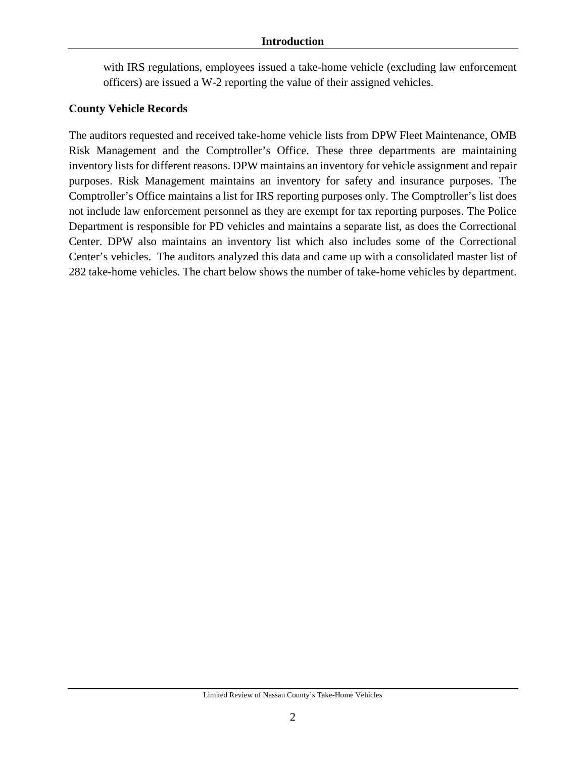#### **Introduction**

with IRS regulations, employees issued a take-home vehicle (excluding law enforcement officers) are issued a W-2 reporting the value of their assigned vehicles.

#### **County Vehicle Records**

The auditors requested and received take-home vehicle lists from DPW Fleet Maintenance, OMB Risk Management and the Comptroller's Office. These three departments are maintaining inventory lists for different reasons. DPW maintains an inventory for vehicle assignment and repair purposes. Risk Management maintains an inventory for safety and insurance purposes. The Comptroller's Office maintains a list for IRS reporting purposes only. The Comptroller's list does not include law enforcement personnel as they are exempt for tax reporting purposes. The Police Department is responsible for PD vehicles and maintains a separate list, as does the Correctional Center. DPW also maintains an inventory list which also includes some of the Correctional Center's vehicles. The auditors analyzed this data and came up with a consolidated master list of 282 take-home vehicles. The chart below shows the number of take-home vehicles by department.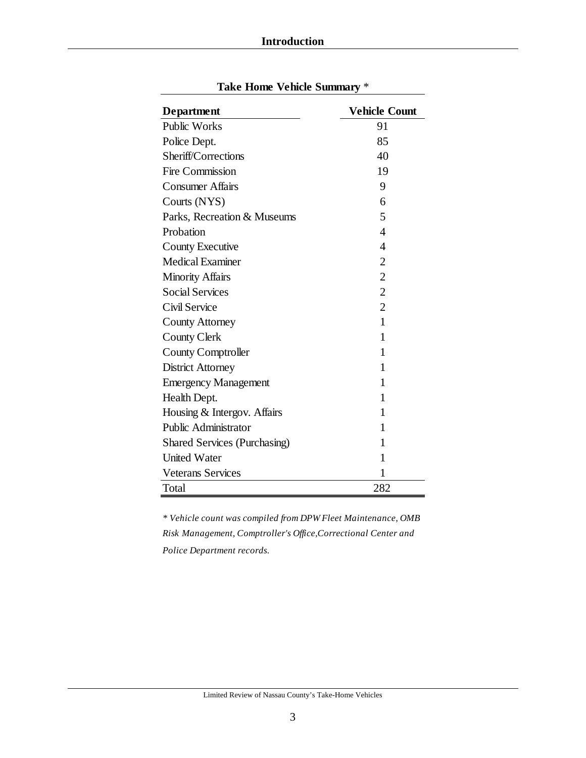| <b>Department</b>                   | <b>Vehicle Count</b> |
|-------------------------------------|----------------------|
| <b>Public Works</b>                 | 91                   |
| Police Dept.                        | 85                   |
| Sheriff/Corrections                 | 40                   |
| Fire Commission                     | 19                   |
| <b>Consumer Affairs</b>             | 9                    |
| Courts (NYS)                        | 6                    |
| Parks, Recreation & Museums         | 5                    |
| Probation                           | 4                    |
| <b>County Executive</b>             | 4                    |
| <b>Medical Examiner</b>             | $\overline{2}$       |
| <b>Minority Affairs</b>             | $\overline{2}$       |
| <b>Social Services</b>              | $\overline{2}$       |
| Civil Service                       | $\overline{2}$       |
| <b>County Attorney</b>              | 1                    |
| <b>County Clerk</b>                 | 1                    |
| <b>County Comptroller</b>           | 1                    |
| <b>District Attorney</b>            | 1                    |
| <b>Emergency Management</b>         | 1                    |
| Health Dept.                        | 1                    |
| Housing & Intergov. Affairs         | 1                    |
| <b>Public Administrator</b>         | 1                    |
| <b>Shared Services (Purchasing)</b> | 1                    |
| <b>United Water</b>                 | 1                    |
| <b>Veterans Services</b>            | 1                    |
| Total                               | 282                  |

**Take Home Vehicle Summary** \*

*\* Vehicle count was compiled from DPW Fleet Maintenance, OMB Risk Management, Comptroller's Office,Correctional Center and Police Department records.*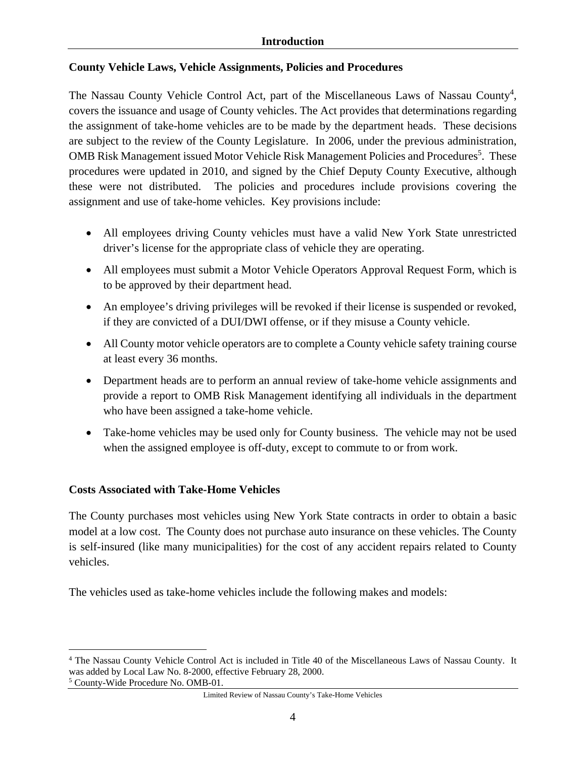## **County Vehicle Laws, Vehicle Assignments, Policies and Procedures**

The Nassau County Vehicle Control Act, part of the Miscellaneous Laws of Nassau County<sup>4</sup>, covers the issuance and usage of County vehicles. The Act provides that determinations regarding the assignment of take-home vehicles are to be made by the department heads. These decisions are subject to the review of the County Legislature. In 2006, under the previous administration, OMB Risk Management issued Motor Vehicle Risk Management Policies and Procedures<sup>5</sup>. These procedures were updated in 2010, and signed by the Chief Deputy County Executive, although these were not distributed. The policies and procedures include provisions covering the assignment and use of take-home vehicles. Key provisions include:

- All employees driving County vehicles must have a valid New York State unrestricted driver's license for the appropriate class of vehicle they are operating.
- All employees must submit a Motor Vehicle Operators Approval Request Form, which is to be approved by their department head.
- An employee's driving privileges will be revoked if their license is suspended or revoked, if they are convicted of a DUI/DWI offense, or if they misuse a County vehicle.
- All County motor vehicle operators are to complete a County vehicle safety training course at least every 36 months.
- Department heads are to perform an annual review of take-home vehicle assignments and provide a report to OMB Risk Management identifying all individuals in the department who have been assigned a take-home vehicle.
- Take-home vehicles may be used only for County business. The vehicle may not be used when the assigned employee is off-duty, except to commute to or from work.

## **Costs Associated with Take-Home Vehicles**

The County purchases most vehicles using New York State contracts in order to obtain a basic model at a low cost. The County does not purchase auto insurance on these vehicles. The County is self-insured (like many municipalities) for the cost of any accident repairs related to County vehicles.

The vehicles used as take-home vehicles include the following makes and models:

5 County-Wide Procedure No. OMB-01.

<u>.</u>

<sup>4</sup> The Nassau County Vehicle Control Act is included in Title 40 of the Miscellaneous Laws of Nassau County. It was added by Local Law No. 8-2000, effective February 28, 2000.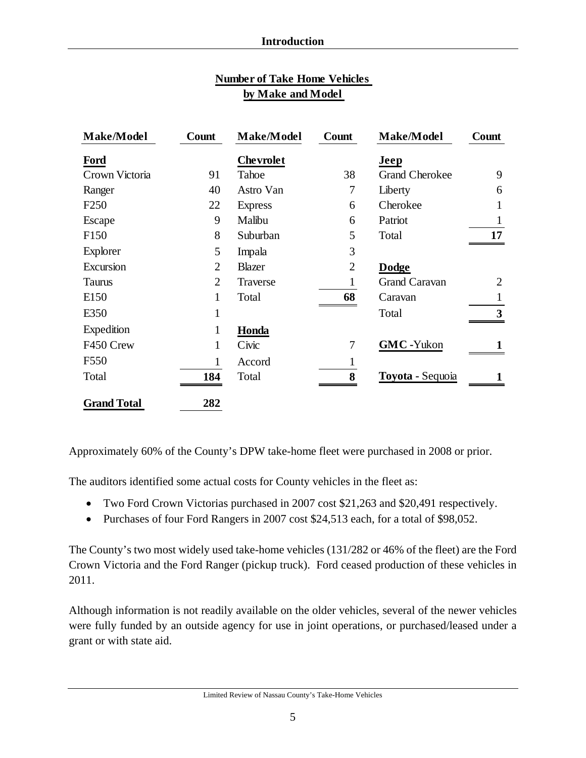| <b>Number of Take Home Vehicles</b> |  |  |  |  |
|-------------------------------------|--|--|--|--|
| by Make and Model                   |  |  |  |  |

| <b>Make/Model</b>  | Count          | Make/Model       | Count          | <b>Make/Model</b>     | Count |
|--------------------|----------------|------------------|----------------|-----------------------|-------|
| Ford               |                | <b>Chevrolet</b> |                | Jeep                  |       |
| Crown Victoria     | 91             | Tahoe            | 38             | <b>Grand Cherokee</b> | 9     |
| Ranger             | 40             | Astro Van        | 7              | Liberty               | 6     |
| F <sub>250</sub>   | 22             | <b>Express</b>   | 6              | Cherokee              | 1     |
| Escape             | 9              | Malibu           | 6              | Patriot               | 1     |
| F <sub>150</sub>   | 8              | Suburban         | 5              | Total                 | 17    |
| Explorer           | 5              | Impala           | 3              |                       |       |
| Excursion          | $\overline{2}$ | <b>Blazer</b>    | $\overline{2}$ | <b>Dodge</b>          |       |
| <b>Taurus</b>      | $\overline{2}$ | Traverse         | 1              | <b>Grand Caravan</b>  | 2     |
| E <sub>150</sub>   | 1              | Total            | 68             | Caravan               | 1     |
| E350               | 1              |                  |                | Total                 | 3     |
| Expedition         | 1              | Honda            |                |                       |       |
| F450 Crew          | 1              | Civic            | 7              | <b>GMC</b> -Yukon     |       |
| F <sub>550</sub>   | 1              | Accord           | 1              |                       |       |
| Total              | 184            | Total            | 8              | Toyota - Sequoia      |       |
| <b>Grand Total</b> | 282            |                  |                |                       |       |

Approximately 60% of the County's DPW take-home fleet were purchased in 2008 or prior.

The auditors identified some actual costs for County vehicles in the fleet as:

- Two Ford Crown Victorias purchased in 2007 cost \$21,263 and \$20,491 respectively.
- Purchases of four Ford Rangers in 2007 cost \$24,513 each, for a total of \$98,052.

The County's two most widely used take-home vehicles (131/282 or 46% of the fleet) are the Ford Crown Victoria and the Ford Ranger (pickup truck). Ford ceased production of these vehicles in 2011.

Although information is not readily available on the older vehicles, several of the newer vehicles were fully funded by an outside agency for use in joint operations, or purchased/leased under a grant or with state aid.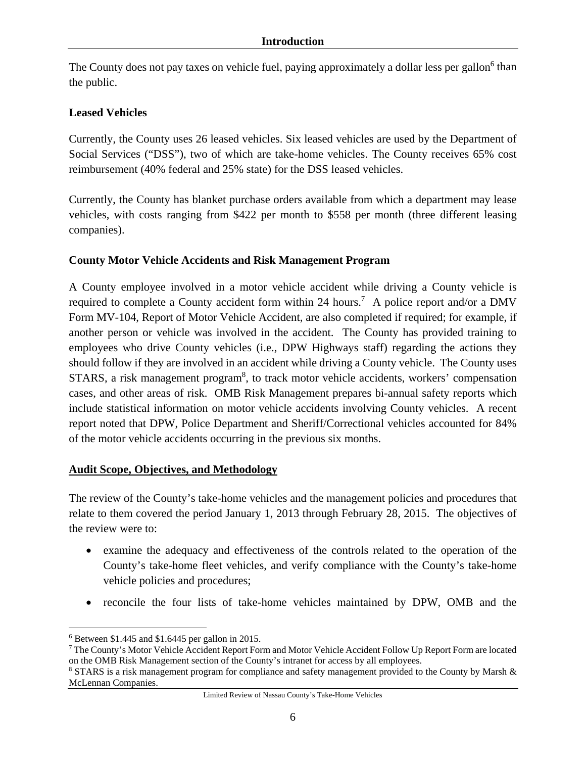The County does not pay taxes on vehicle fuel, paying approximately a dollar less per gallon<sup>6</sup> than the public.

## **Leased Vehicles**

Currently, the County uses 26 leased vehicles. Six leased vehicles are used by the Department of Social Services ("DSS"), two of which are take-home vehicles. The County receives 65% cost reimbursement (40% federal and 25% state) for the DSS leased vehicles.

Currently, the County has blanket purchase orders available from which a department may lease vehicles, with costs ranging from \$422 per month to \$558 per month (three different leasing companies).

## **County Motor Vehicle Accidents and Risk Management Program**

A County employee involved in a motor vehicle accident while driving a County vehicle is required to complete a County accident form within 24 hours.<sup>7</sup> A police report and/or a DMV Form MV-104, Report of Motor Vehicle Accident, are also completed if required; for example, if another person or vehicle was involved in the accident. The County has provided training to employees who drive County vehicles (i.e., DPW Highways staff) regarding the actions they should follow if they are involved in an accident while driving a County vehicle. The County uses STARS, a risk management program<sup>8</sup>, to track motor vehicle accidents, workers' compensation cases, and other areas of risk. OMB Risk Management prepares bi-annual safety reports which include statistical information on motor vehicle accidents involving County vehicles. A recent report noted that DPW, Police Department and Sheriff/Correctional vehicles accounted for 84% of the motor vehicle accidents occurring in the previous six months.

### **Audit Scope, Objectives, and Methodology**

The review of the County's take-home vehicles and the management policies and procedures that relate to them covered the period January 1, 2013 through February 28, 2015. The objectives of the review were to:

- examine the adequacy and effectiveness of the controls related to the operation of the County's take-home fleet vehicles, and verify compliance with the County's take-home vehicle policies and procedures;
- reconcile the four lists of take-home vehicles maintained by DPW, OMB and the

 $\overline{a}$ 

<sup>6</sup> Between \$1.445 and \$1.6445 per gallon in 2015.

<sup>&</sup>lt;sup>7</sup> The County's Motor Vehicle Accident Report Form and Motor Vehicle Accident Follow Up Report Form are located on the OMB Risk Management section of the County's intranet for access by all employees. 8

<sup>&</sup>lt;sup>8</sup> STARS is a risk management program for compliance and safety management provided to the County by Marsh & McLennan Companies.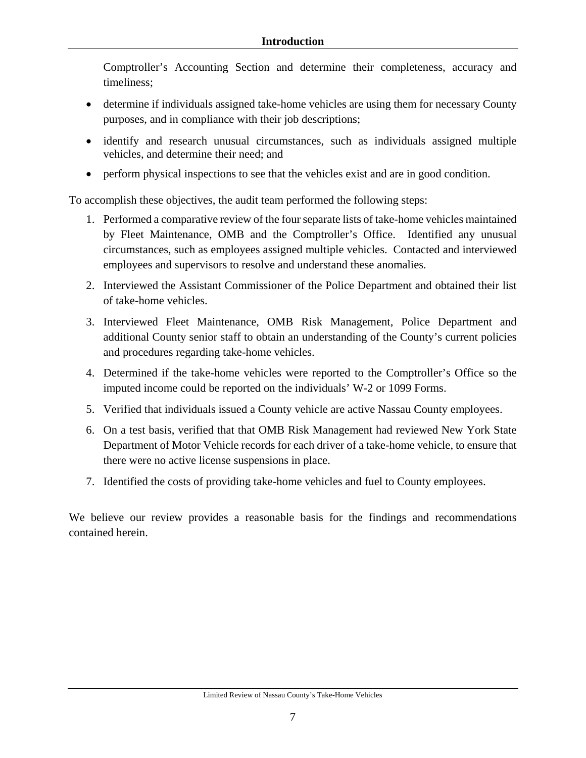Comptroller's Accounting Section and determine their completeness, accuracy and timeliness;

- determine if individuals assigned take-home vehicles are using them for necessary County purposes, and in compliance with their job descriptions;
- identify and research unusual circumstances, such as individuals assigned multiple vehicles, and determine their need; and
- perform physical inspections to see that the vehicles exist and are in good condition.

To accomplish these objectives, the audit team performed the following steps:

- 1. Performed a comparative review of the four separate lists of take-home vehicles maintained by Fleet Maintenance, OMB and the Comptroller's Office. Identified any unusual circumstances, such as employees assigned multiple vehicles. Contacted and interviewed employees and supervisors to resolve and understand these anomalies.
- 2. Interviewed the Assistant Commissioner of the Police Department and obtained their list of take-home vehicles.
- 3. Interviewed Fleet Maintenance, OMB Risk Management, Police Department and additional County senior staff to obtain an understanding of the County's current policies and procedures regarding take-home vehicles.
- 4. Determined if the take-home vehicles were reported to the Comptroller's Office so the imputed income could be reported on the individuals' W-2 or 1099 Forms.
- 5. Verified that individuals issued a County vehicle are active Nassau County employees.
- 6. On a test basis, verified that that OMB Risk Management had reviewed New York State Department of Motor Vehicle records for each driver of a take-home vehicle, to ensure that there were no active license suspensions in place.
- 7. Identified the costs of providing take-home vehicles and fuel to County employees.

We believe our review provides a reasonable basis for the findings and recommendations contained herein.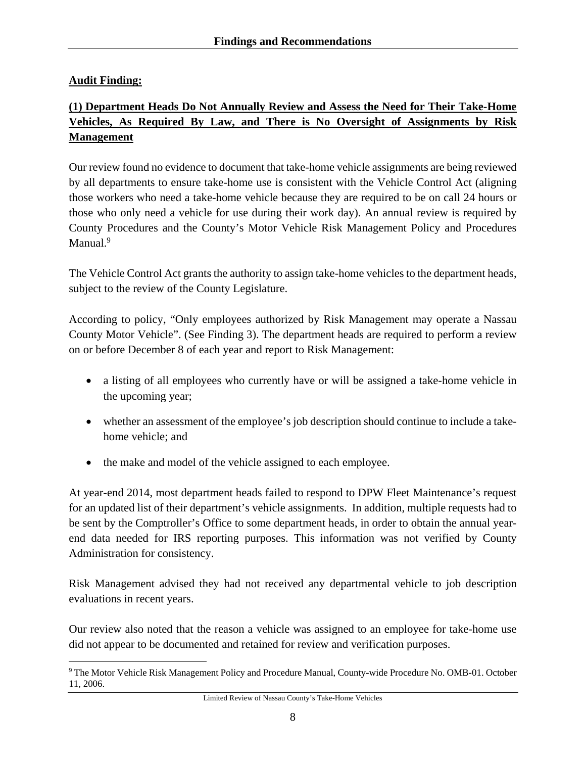## **Audit Finding:**

 $\overline{a}$ 

# **(1) Department Heads Do Not Annually Review and Assess the Need for Their Take-Home Vehicles, As Required By Law, and There is No Oversight of Assignments by Risk Management**

Our review found no evidence to document that take-home vehicle assignments are being reviewed by all departments to ensure take-home use is consistent with the Vehicle Control Act (aligning those workers who need a take-home vehicle because they are required to be on call 24 hours or those who only need a vehicle for use during their work day). An annual review is required by County Procedures and the County's Motor Vehicle Risk Management Policy and Procedures Manual.<sup>9</sup>

The Vehicle Control Act grants the authority to assign take-home vehicles to the department heads, subject to the review of the County Legislature.

According to policy, "Only employees authorized by Risk Management may operate a Nassau County Motor Vehicle". (See Finding 3). The department heads are required to perform a review on or before December 8 of each year and report to Risk Management:

- a listing of all employees who currently have or will be assigned a take-home vehicle in the upcoming year;
- whether an assessment of the employee's job description should continue to include a takehome vehicle; and
- the make and model of the vehicle assigned to each employee.

At year-end 2014, most department heads failed to respond to DPW Fleet Maintenance's request for an updated list of their department's vehicle assignments. In addition, multiple requests had to be sent by the Comptroller's Office to some department heads, in order to obtain the annual yearend data needed for IRS reporting purposes. This information was not verified by County Administration for consistency.

Risk Management advised they had not received any departmental vehicle to job description evaluations in recent years.

Our review also noted that the reason a vehicle was assigned to an employee for take-home use did not appear to be documented and retained for review and verification purposes.

<sup>&</sup>lt;sup>9</sup> The Motor Vehicle Risk Management Policy and Procedure Manual, County-wide Procedure No. OMB-01. October 11, 2006.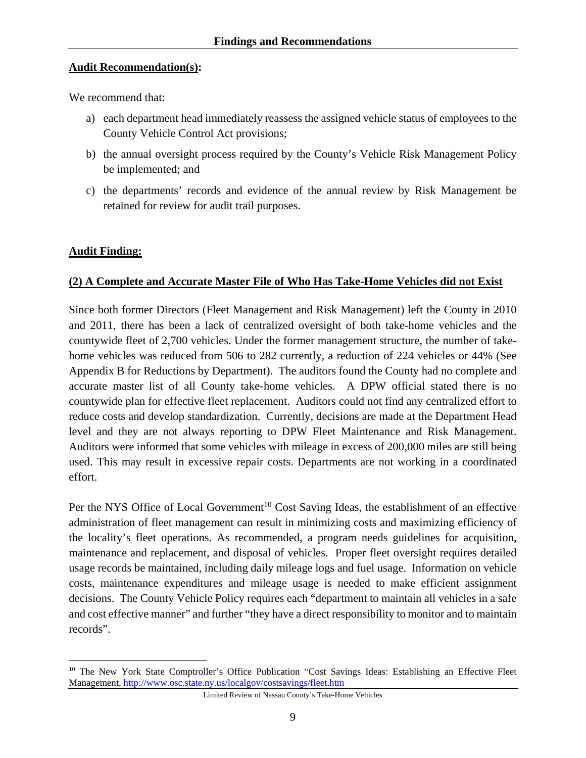### **Audit Recommendation(s):**

We recommend that:

- a) each department head immediately reassess the assigned vehicle status of employees to the County Vehicle Control Act provisions;
- b) the annual oversight process required by the County's Vehicle Risk Management Policy be implemented; and
- c) the departments' records and evidence of the annual review by Risk Management be retained for review for audit trail purposes.

### **Audit Finding:**

1

### **(2) A Complete and Accurate Master File of Who Has Take-Home Vehicles did not Exist**

Since both former Directors (Fleet Management and Risk Management) left the County in 2010 and 2011, there has been a lack of centralized oversight of both take-home vehicles and the countywide fleet of 2,700 vehicles. Under the former management structure, the number of takehome vehicles was reduced from 506 to 282 currently, a reduction of 224 vehicles or 44% (See Appendix B for Reductions by Department). The auditors found the County had no complete and accurate master list of all County take-home vehicles. A DPW official stated there is no countywide plan for effective fleet replacement. Auditors could not find any centralized effort to reduce costs and develop standardization. Currently, decisions are made at the Department Head level and they are not always reporting to DPW Fleet Maintenance and Risk Management. Auditors were informed that some vehicles with mileage in excess of 200,000 miles are still being used. This may result in excessive repair costs. Departments are not working in a coordinated effort.

Per the NYS Office of Local Government<sup>10</sup> Cost Saving Ideas, the establishment of an effective administration of fleet management can result in minimizing costs and maximizing efficiency of the locality's fleet operations. As recommended, a program needs guidelines for acquisition, maintenance and replacement, and disposal of vehicles. Proper fleet oversight requires detailed usage records be maintained, including daily mileage logs and fuel usage. Information on vehicle costs, maintenance expenditures and mileage usage is needed to make efficient assignment decisions. The County Vehicle Policy requires each "department to maintain all vehicles in a safe and cost effective manner" and further "they have a direct responsibility to monitor and to maintain records".

<sup>&</sup>lt;sup>10</sup> The New York State Comptroller's Office Publication "Cost Savings Ideas: Establishing an Effective Fleet Management, http://www.osc.state.ny.us/localgov/costsavings/fleet.htm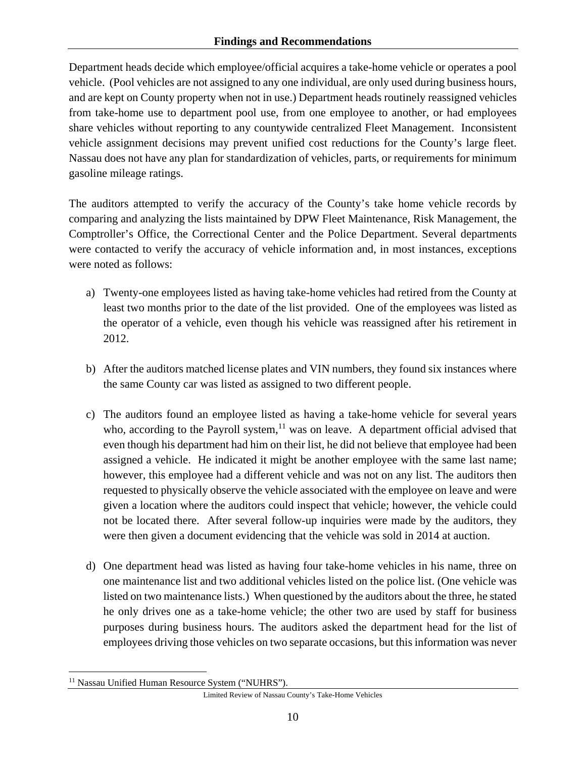Department heads decide which employee/official acquires a take-home vehicle or operates a pool vehicle. (Pool vehicles are not assigned to any one individual, are only used during business hours, and are kept on County property when not in use.) Department heads routinely reassigned vehicles from take-home use to department pool use, from one employee to another, or had employees share vehicles without reporting to any countywide centralized Fleet Management. Inconsistent vehicle assignment decisions may prevent unified cost reductions for the County's large fleet. Nassau does not have any plan for standardization of vehicles, parts, or requirements for minimum gasoline mileage ratings.

The auditors attempted to verify the accuracy of the County's take home vehicle records by comparing and analyzing the lists maintained by DPW Fleet Maintenance, Risk Management, the Comptroller's Office, the Correctional Center and the Police Department. Several departments were contacted to verify the accuracy of vehicle information and, in most instances, exceptions were noted as follows:

- a) Twenty-one employees listed as having take-home vehicles had retired from the County at least two months prior to the date of the list provided. One of the employees was listed as the operator of a vehicle, even though his vehicle was reassigned after his retirement in 2012.
- b) After the auditors matched license plates and VIN numbers, they found six instances where the same County car was listed as assigned to two different people.
- c) The auditors found an employee listed as having a take-home vehicle for several years who, according to the Payroll system, $11$  was on leave. A department official advised that even though his department had him on their list, he did not believe that employee had been assigned a vehicle. He indicated it might be another employee with the same last name; however, this employee had a different vehicle and was not on any list. The auditors then requested to physically observe the vehicle associated with the employee on leave and were given a location where the auditors could inspect that vehicle; however, the vehicle could not be located there. After several follow-up inquiries were made by the auditors, they were then given a document evidencing that the vehicle was sold in 2014 at auction.
- d) One department head was listed as having four take-home vehicles in his name, three on one maintenance list and two additional vehicles listed on the police list. (One vehicle was listed on two maintenance lists.) When questioned by the auditors about the three, he stated he only drives one as a take-home vehicle; the other two are used by staff for business purposes during business hours. The auditors asked the department head for the list of employees driving those vehicles on two separate occasions, but this information was never

 $\overline{a}$ <sup>11</sup> Nassau Unified Human Resource System ("NUHRS").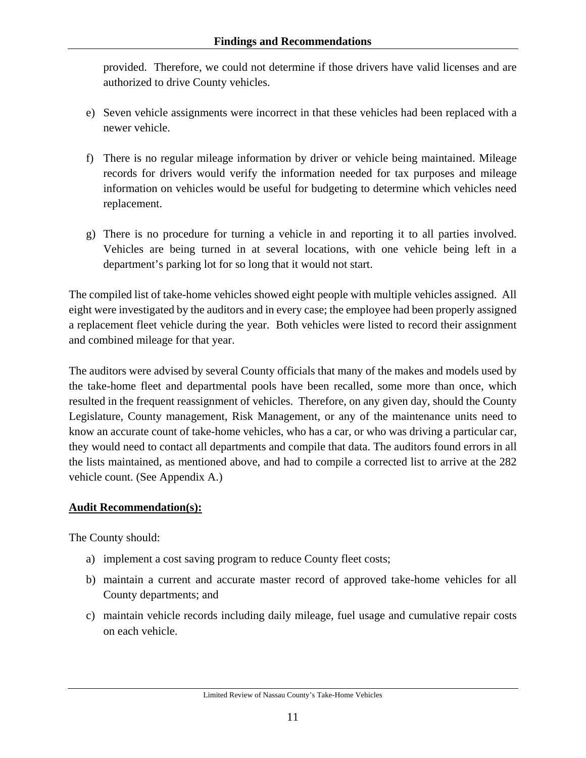provided. Therefore, we could not determine if those drivers have valid licenses and are authorized to drive County vehicles.

- e) Seven vehicle assignments were incorrect in that these vehicles had been replaced with a newer vehicle.
- f) There is no regular mileage information by driver or vehicle being maintained. Mileage records for drivers would verify the information needed for tax purposes and mileage information on vehicles would be useful for budgeting to determine which vehicles need replacement.
- g) There is no procedure for turning a vehicle in and reporting it to all parties involved. Vehicles are being turned in at several locations, with one vehicle being left in a department's parking lot for so long that it would not start.

The compiled list of take-home vehicles showed eight people with multiple vehicles assigned. All eight were investigated by the auditors and in every case; the employee had been properly assigned a replacement fleet vehicle during the year. Both vehicles were listed to record their assignment and combined mileage for that year.

The auditors were advised by several County officials that many of the makes and models used by the take-home fleet and departmental pools have been recalled, some more than once, which resulted in the frequent reassignment of vehicles. Therefore, on any given day, should the County Legislature, County management, Risk Management, or any of the maintenance units need to know an accurate count of take-home vehicles, who has a car, or who was driving a particular car, they would need to contact all departments and compile that data. The auditors found errors in all the lists maintained, as mentioned above, and had to compile a corrected list to arrive at the 282 vehicle count. (See Appendix A.)

## **Audit Recommendation(s):**

The County should:

- a) implement a cost saving program to reduce County fleet costs;
- b) maintain a current and accurate master record of approved take-home vehicles for all County departments; and
- c) maintain vehicle records including daily mileage, fuel usage and cumulative repair costs on each vehicle.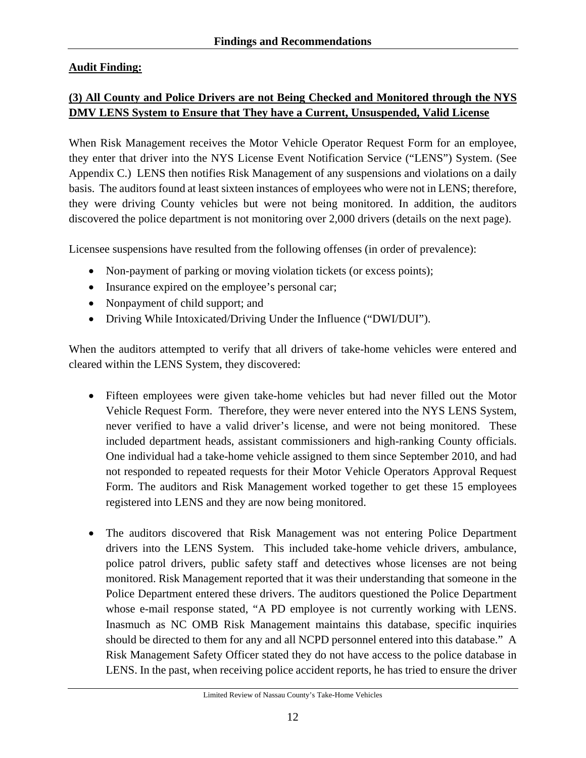## **Audit Finding:**

# **(3) All County and Police Drivers are not Being Checked and Monitored through the NYS DMV LENS System to Ensure that They have a Current, Unsuspended, Valid License**

When Risk Management receives the Motor Vehicle Operator Request Form for an employee, they enter that driver into the NYS License Event Notification Service ("LENS") System. (See Appendix C.) LENS then notifies Risk Management of any suspensions and violations on a daily basis. The auditors found at least sixteen instances of employees who were not in LENS; therefore, they were driving County vehicles but were not being monitored. In addition, the auditors discovered the police department is not monitoring over 2,000 drivers (details on the next page).

Licensee suspensions have resulted from the following offenses (in order of prevalence):

- Non-payment of parking or moving violation tickets (or excess points);
- Insurance expired on the employee's personal car;
- Nonpayment of child support; and
- Driving While Intoxicated/Driving Under the Influence ("DWI/DUI").

When the auditors attempted to verify that all drivers of take-home vehicles were entered and cleared within the LENS System, they discovered:

- Fifteen employees were given take-home vehicles but had never filled out the Motor Vehicle Request Form. Therefore, they were never entered into the NYS LENS System, never verified to have a valid driver's license, and were not being monitored. These included department heads, assistant commissioners and high-ranking County officials. One individual had a take-home vehicle assigned to them since September 2010, and had not responded to repeated requests for their Motor Vehicle Operators Approval Request Form. The auditors and Risk Management worked together to get these 15 employees registered into LENS and they are now being monitored.
- The auditors discovered that Risk Management was not entering Police Department drivers into the LENS System. This included take-home vehicle drivers, ambulance, police patrol drivers, public safety staff and detectives whose licenses are not being monitored. Risk Management reported that it was their understanding that someone in the Police Department entered these drivers. The auditors questioned the Police Department whose e-mail response stated, "A PD employee is not currently working with LENS. Inasmuch as NC OMB Risk Management maintains this database, specific inquiries should be directed to them for any and all NCPD personnel entered into this database." A Risk Management Safety Officer stated they do not have access to the police database in LENS. In the past, when receiving police accident reports, he has tried to ensure the driver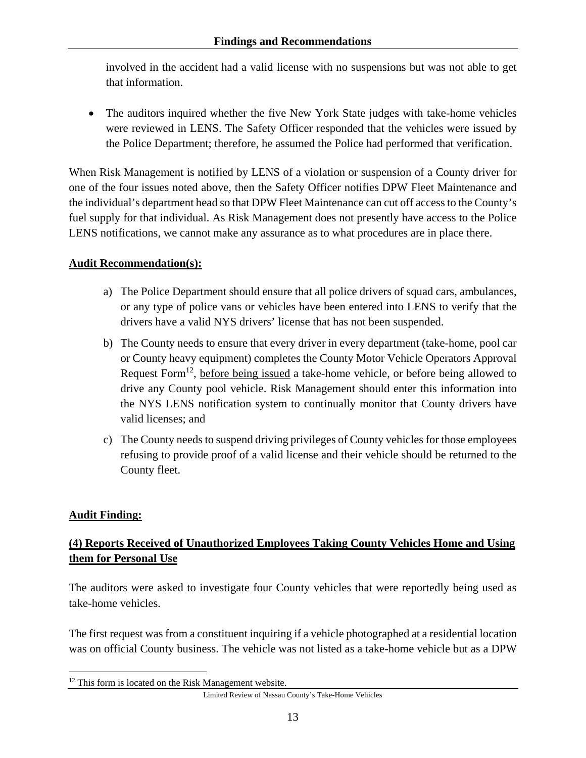involved in the accident had a valid license with no suspensions but was not able to get that information.

• The auditors inquired whether the five New York State judges with take-home vehicles were reviewed in LENS. The Safety Officer responded that the vehicles were issued by the Police Department; therefore, he assumed the Police had performed that verification.

When Risk Management is notified by LENS of a violation or suspension of a County driver for one of the four issues noted above, then the Safety Officer notifies DPW Fleet Maintenance and the individual's department head so that DPW Fleet Maintenance can cut off access to the County's fuel supply for that individual. As Risk Management does not presently have access to the Police LENS notifications, we cannot make any assurance as to what procedures are in place there.

### **Audit Recommendation(s):**

- a) The Police Department should ensure that all police drivers of squad cars, ambulances, or any type of police vans or vehicles have been entered into LENS to verify that the drivers have a valid NYS drivers' license that has not been suspended.
- b) The County needs to ensure that every driver in every department (take-home, pool car or County heavy equipment) completes the County Motor Vehicle Operators Approval Request Form<sup>12</sup>, before being issued a take-home vehicle, or before being allowed to drive any County pool vehicle. Risk Management should enter this information into the NYS LENS notification system to continually monitor that County drivers have valid licenses; and
- c) The County needs to suspend driving privileges of County vehicles for those employees refusing to provide proof of a valid license and their vehicle should be returned to the County fleet.

### **Audit Finding:**

 $\overline{a}$ 

## **(4) Reports Received of Unauthorized Employees Taking County Vehicles Home and Using them for Personal Use**

The auditors were asked to investigate four County vehicles that were reportedly being used as take-home vehicles.

The first request was from a constituent inquiring if a vehicle photographed at a residential location was on official County business. The vehicle was not listed as a take-home vehicle but as a DPW

<sup>&</sup>lt;sup>12</sup> This form is located on the Risk Management website.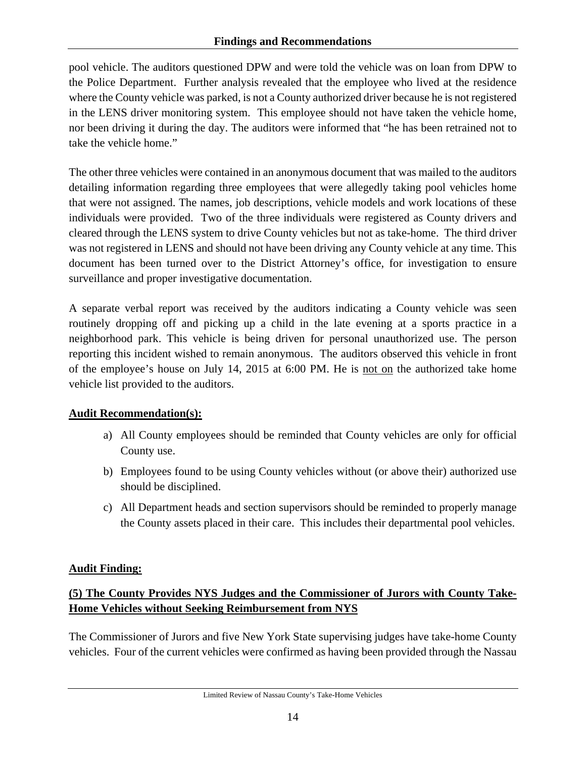pool vehicle. The auditors questioned DPW and were told the vehicle was on loan from DPW to the Police Department. Further analysis revealed that the employee who lived at the residence where the County vehicle was parked, is not a County authorized driver because he is not registered in the LENS driver monitoring system. This employee should not have taken the vehicle home, nor been driving it during the day. The auditors were informed that "he has been retrained not to take the vehicle home."

The other three vehicles were contained in an anonymous document that was mailed to the auditors detailing information regarding three employees that were allegedly taking pool vehicles home that were not assigned. The names, job descriptions, vehicle models and work locations of these individuals were provided. Two of the three individuals were registered as County drivers and cleared through the LENS system to drive County vehicles but not as take-home. The third driver was not registered in LENS and should not have been driving any County vehicle at any time. This document has been turned over to the District Attorney's office, for investigation to ensure surveillance and proper investigative documentation.

A separate verbal report was received by the auditors indicating a County vehicle was seen routinely dropping off and picking up a child in the late evening at a sports practice in a neighborhood park. This vehicle is being driven for personal unauthorized use. The person reporting this incident wished to remain anonymous. The auditors observed this vehicle in front of the employee's house on July 14, 2015 at 6:00 PM. He is not on the authorized take home vehicle list provided to the auditors.

# **Audit Recommendation(s):**

- a) All County employees should be reminded that County vehicles are only for official County use.
- b) Employees found to be using County vehicles without (or above their) authorized use should be disciplined.
- c) All Department heads and section supervisors should be reminded to properly manage the County assets placed in their care. This includes their departmental pool vehicles.

# **Audit Finding:**

# **(5) The County Provides NYS Judges and the Commissioner of Jurors with County Take-Home Vehicles without Seeking Reimbursement from NYS**

The Commissioner of Jurors and five New York State supervising judges have take-home County vehicles. Four of the current vehicles were confirmed as having been provided through the Nassau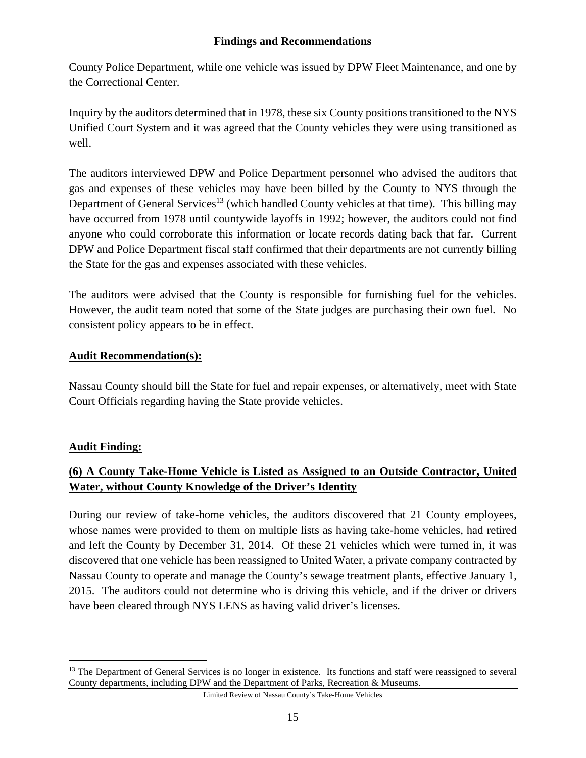County Police Department, while one vehicle was issued by DPW Fleet Maintenance, and one by the Correctional Center.

Inquiry by the auditors determined that in 1978, these six County positions transitioned to the NYS Unified Court System and it was agreed that the County vehicles they were using transitioned as well.

The auditors interviewed DPW and Police Department personnel who advised the auditors that gas and expenses of these vehicles may have been billed by the County to NYS through the Department of General Services<sup>13</sup> (which handled County vehicles at that time). This billing may have occurred from 1978 until countywide layoffs in 1992; however, the auditors could not find anyone who could corroborate this information or locate records dating back that far. Current DPW and Police Department fiscal staff confirmed that their departments are not currently billing the State for the gas and expenses associated with these vehicles.

The auditors were advised that the County is responsible for furnishing fuel for the vehicles. However, the audit team noted that some of the State judges are purchasing their own fuel. No consistent policy appears to be in effect.

### **Audit Recommendation(s):**

Nassau County should bill the State for fuel and repair expenses, or alternatively, meet with State Court Officials regarding having the State provide vehicles.

## **Audit Finding:**

1

# **(6) A County Take-Home Vehicle is Listed as Assigned to an Outside Contractor, United Water, without County Knowledge of the Driver's Identity**

During our review of take-home vehicles, the auditors discovered that 21 County employees, whose names were provided to them on multiple lists as having take-home vehicles, had retired and left the County by December 31, 2014. Of these 21 vehicles which were turned in, it was discovered that one vehicle has been reassigned to United Water, a private company contracted by Nassau County to operate and manage the County's sewage treatment plants, effective January 1, 2015. The auditors could not determine who is driving this vehicle, and if the driver or drivers have been cleared through NYS LENS as having valid driver's licenses.

<sup>&</sup>lt;sup>13</sup> The Department of General Services is no longer in existence. Its functions and staff were reassigned to several County departments, including DPW and the Department of Parks, Recreation & Museums.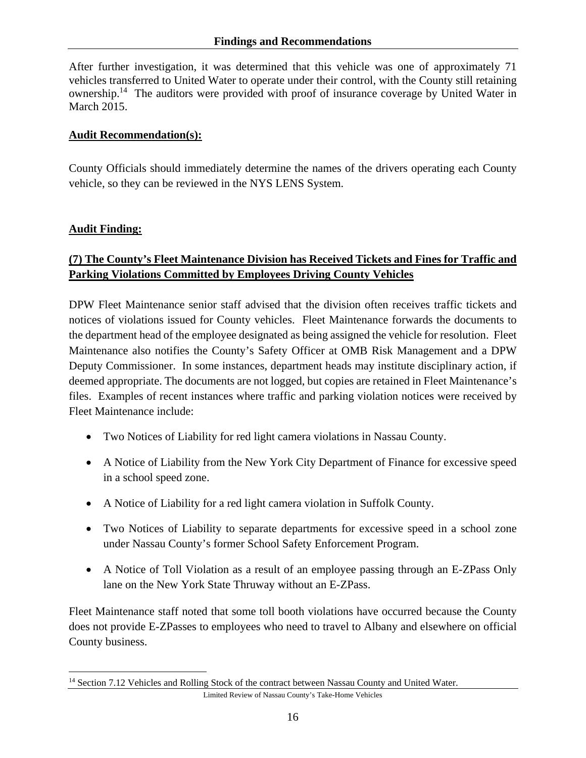After further investigation, it was determined that this vehicle was one of approximately 71 vehicles transferred to United Water to operate under their control, with the County still retaining ownership.14 The auditors were provided with proof of insurance coverage by United Water in March 2015.

#### **Audit Recommendation(s):**

County Officials should immediately determine the names of the drivers operating each County vehicle, so they can be reviewed in the NYS LENS System.

### **Audit Finding:**

 $\overline{a}$ 

## **(7) The County's Fleet Maintenance Division has Received Tickets and Fines for Traffic and Parking Violations Committed by Employees Driving County Vehicles**

DPW Fleet Maintenance senior staff advised that the division often receives traffic tickets and notices of violations issued for County vehicles. Fleet Maintenance forwards the documents to the department head of the employee designated as being assigned the vehicle for resolution. Fleet Maintenance also notifies the County's Safety Officer at OMB Risk Management and a DPW Deputy Commissioner. In some instances, department heads may institute disciplinary action, if deemed appropriate. The documents are not logged, but copies are retained in Fleet Maintenance's files. Examples of recent instances where traffic and parking violation notices were received by Fleet Maintenance include:

- Two Notices of Liability for red light camera violations in Nassau County.
- A Notice of Liability from the New York City Department of Finance for excessive speed in a school speed zone.
- A Notice of Liability for a red light camera violation in Suffolk County.
- Two Notices of Liability to separate departments for excessive speed in a school zone under Nassau County's former School Safety Enforcement Program.
- A Notice of Toll Violation as a result of an employee passing through an E-ZPass Only lane on the New York State Thruway without an E-ZPass.

Fleet Maintenance staff noted that some toll booth violations have occurred because the County does not provide E-ZPasses to employees who need to travel to Albany and elsewhere on official County business.

<sup>&</sup>lt;sup>14</sup> Section 7.12 Vehicles and Rolling Stock of the contract between Nassau County and United Water.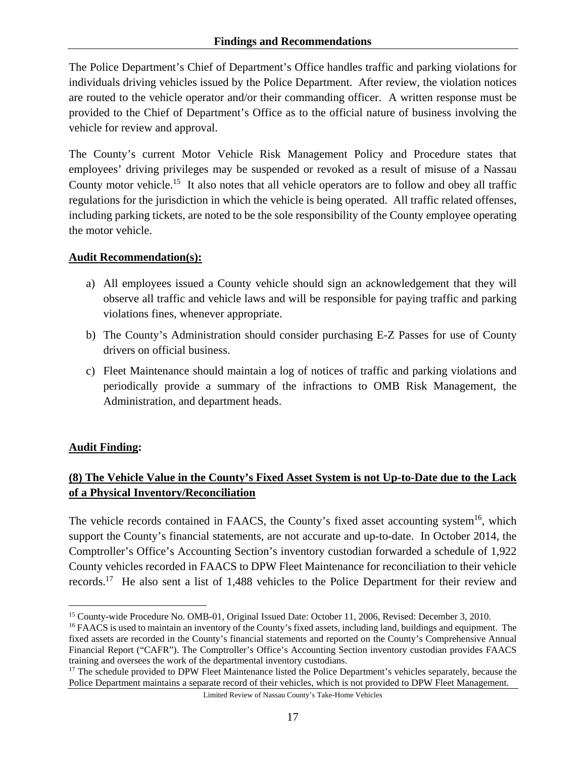The Police Department's Chief of Department's Office handles traffic and parking violations for individuals driving vehicles issued by the Police Department. After review, the violation notices are routed to the vehicle operator and/or their commanding officer. A written response must be provided to the Chief of Department's Office as to the official nature of business involving the vehicle for review and approval.

The County's current Motor Vehicle Risk Management Policy and Procedure states that employees' driving privileges may be suspended or revoked as a result of misuse of a Nassau County motor vehicle.<sup>15</sup> It also notes that all vehicle operators are to follow and obey all traffic regulations for the jurisdiction in which the vehicle is being operated. All traffic related offenses, including parking tickets, are noted to be the sole responsibility of the County employee operating the motor vehicle.

### **Audit Recommendation(s):**

- a) All employees issued a County vehicle should sign an acknowledgement that they will observe all traffic and vehicle laws and will be responsible for paying traffic and parking violations fines, whenever appropriate.
- b) The County's Administration should consider purchasing E-Z Passes for use of County drivers on official business.
- c) Fleet Maintenance should maintain a log of notices of traffic and parking violations and periodically provide a summary of the infractions to OMB Risk Management, the Administration, and department heads.

## **Audit Finding:**

# **(8) The Vehicle Value in the County's Fixed Asset System is not Up-to-Date due to the Lack of a Physical Inventory/Reconciliation**

The vehicle records contained in FAACS, the County's fixed asset accounting system<sup>16</sup>, which support the County's financial statements, are not accurate and up-to-date. In October 2014, the Comptroller's Office's Accounting Section's inventory custodian forwarded a schedule of 1,922 County vehicles recorded in FAACS to DPW Fleet Maintenance for reconciliation to their vehicle records.17 He also sent a list of 1,488 vehicles to the Police Department for their review and

 $\overline{a}$ <sup>15</sup> County-wide Procedure No. OMB-01, Original Issued Date: October 11, 2006, Revised: December 3, 2010.<br><sup>16</sup> FAACS is used to maintain an inventory of the County's fixed assets, including land, buildings and equipment.

fixed assets are recorded in the County's financial statements and reported on the County's Comprehensive Annual Financial Report ("CAFR"). The Comptroller's Office's Accounting Section inventory custodian provides FAACS training and oversees the work of the departmental inventory custodians.

<sup>&</sup>lt;sup>17</sup> The schedule provided to DPW Fleet Maintenance listed the Police Department's vehicles separately, because the Police Department maintains a separate record of their vehicles, which is not provided to DPW Fleet Management.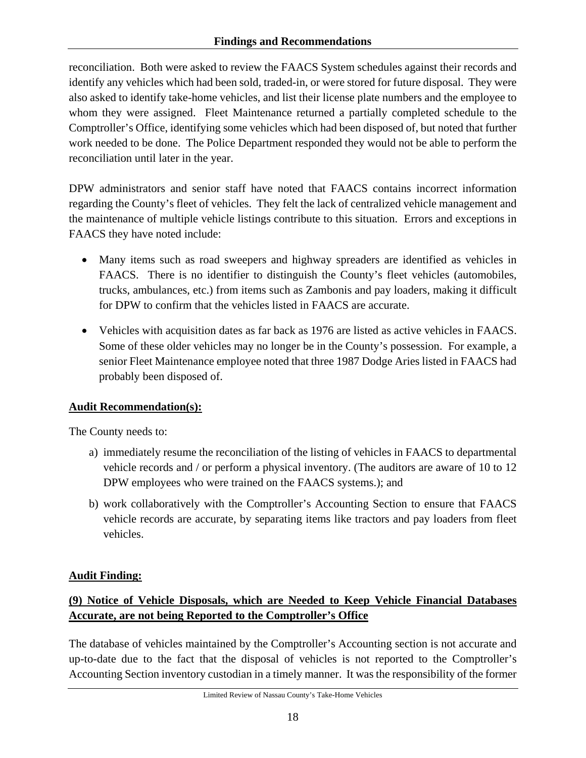reconciliation. Both were asked to review the FAACS System schedules against their records and identify any vehicles which had been sold, traded-in, or were stored for future disposal. They were also asked to identify take-home vehicles, and list their license plate numbers and the employee to whom they were assigned. Fleet Maintenance returned a partially completed schedule to the Comptroller's Office, identifying some vehicles which had been disposed of, but noted that further work needed to be done. The Police Department responded they would not be able to perform the reconciliation until later in the year.

DPW administrators and senior staff have noted that FAACS contains incorrect information regarding the County's fleet of vehicles. They felt the lack of centralized vehicle management and the maintenance of multiple vehicle listings contribute to this situation. Errors and exceptions in FAACS they have noted include:

- Many items such as road sweepers and highway spreaders are identified as vehicles in FAACS. There is no identifier to distinguish the County's fleet vehicles (automobiles, trucks, ambulances, etc.) from items such as Zambonis and pay loaders, making it difficult for DPW to confirm that the vehicles listed in FAACS are accurate.
- Vehicles with acquisition dates as far back as 1976 are listed as active vehicles in FAACS. Some of these older vehicles may no longer be in the County's possession. For example, a senior Fleet Maintenance employee noted that three 1987 Dodge Aries listed in FAACS had probably been disposed of.

# **Audit Recommendation(s):**

The County needs to:

- a) immediately resume the reconciliation of the listing of vehicles in FAACS to departmental vehicle records and / or perform a physical inventory. (The auditors are aware of 10 to 12 DPW employees who were trained on the FAACS systems.); and
- b) work collaboratively with the Comptroller's Accounting Section to ensure that FAACS vehicle records are accurate, by separating items like tractors and pay loaders from fleet vehicles.

# **Audit Finding:**

# **(9) Notice of Vehicle Disposals, which are Needed to Keep Vehicle Financial Databases Accurate, are not being Reported to the Comptroller's Office**

The database of vehicles maintained by the Comptroller's Accounting section is not accurate and up-to-date due to the fact that the disposal of vehicles is not reported to the Comptroller's Accounting Section inventory custodian in a timely manner. It was the responsibility of the former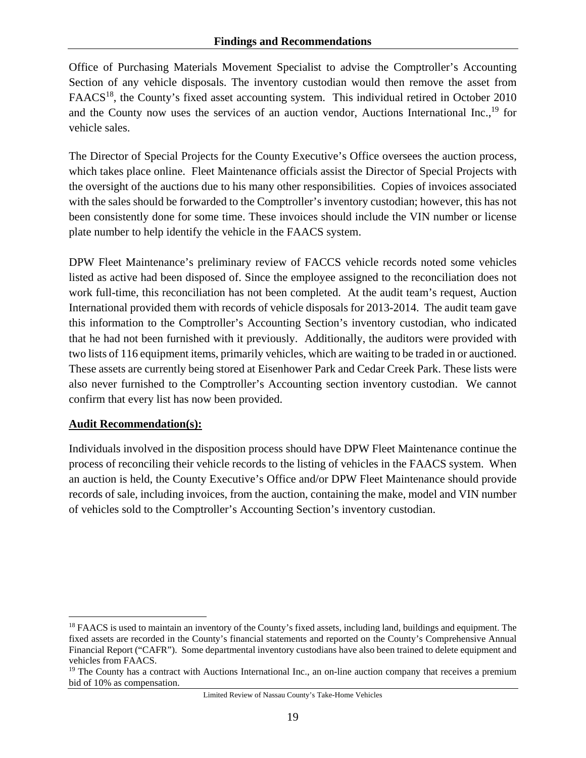Office of Purchasing Materials Movement Specialist to advise the Comptroller's Accounting Section of any vehicle disposals. The inventory custodian would then remove the asset from FAACS<sup>18</sup>, the County's fixed asset accounting system. This individual retired in October 2010 and the County now uses the services of an auction vendor, Auctions International Inc., $^{19}$  for vehicle sales.

The Director of Special Projects for the County Executive's Office oversees the auction process, which takes place online. Fleet Maintenance officials assist the Director of Special Projects with the oversight of the auctions due to his many other responsibilities. Copies of invoices associated with the sales should be forwarded to the Comptroller's inventory custodian; however, this has not been consistently done for some time. These invoices should include the VIN number or license plate number to help identify the vehicle in the FAACS system.

DPW Fleet Maintenance's preliminary review of FACCS vehicle records noted some vehicles listed as active had been disposed of. Since the employee assigned to the reconciliation does not work full-time, this reconciliation has not been completed. At the audit team's request, Auction International provided them with records of vehicle disposals for 2013-2014. The audit team gave this information to the Comptroller's Accounting Section's inventory custodian, who indicated that he had not been furnished with it previously. Additionally, the auditors were provided with two lists of 116 equipment items, primarily vehicles, which are waiting to be traded in or auctioned. These assets are currently being stored at Eisenhower Park and Cedar Creek Park. These lists were also never furnished to the Comptroller's Accounting section inventory custodian. We cannot confirm that every list has now been provided.

### **Audit Recommendation(s):**

 $\overline{a}$ 

Individuals involved in the disposition process should have DPW Fleet Maintenance continue the process of reconciling their vehicle records to the listing of vehicles in the FAACS system. When an auction is held, the County Executive's Office and/or DPW Fleet Maintenance should provide records of sale, including invoices, from the auction, containing the make, model and VIN number of vehicles sold to the Comptroller's Accounting Section's inventory custodian.

<sup>&</sup>lt;sup>18</sup> FAACS is used to maintain an inventory of the County's fixed assets, including land, buildings and equipment. The fixed assets are recorded in the County's financial statements and reported on the County's Comprehensive Annual Financial Report ("CAFR"). Some departmental inventory custodians have also been trained to delete equipment and vehicles from FAACS.

<sup>&</sup>lt;sup>19</sup> The County has a contract with Auctions International Inc., an on-line auction company that receives a premium bid of 10% as compensation.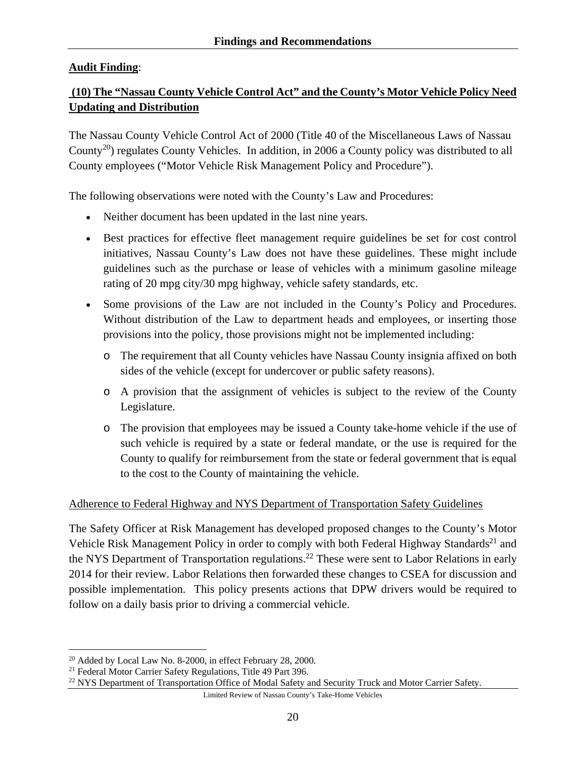## **Audit Finding**:

# **(10) The "Nassau County Vehicle Control Act" and the County's Motor Vehicle Policy Need Updating and Distribution**

The Nassau County Vehicle Control Act of 2000 (Title 40 of the Miscellaneous Laws of Nassau County<sup>20</sup>) regulates County Vehicles. In addition, in 2006 a County policy was distributed to all County employees ("Motor Vehicle Risk Management Policy and Procedure").

The following observations were noted with the County's Law and Procedures:

- Neither document has been updated in the last nine years.
- Best practices for effective fleet management require guidelines be set for cost control initiatives, Nassau County's Law does not have these guidelines. These might include guidelines such as the purchase or lease of vehicles with a minimum gasoline mileage rating of 20 mpg city/30 mpg highway, vehicle safety standards, etc.
- Some provisions of the Law are not included in the County's Policy and Procedures. Without distribution of the Law to department heads and employees, or inserting those provisions into the policy, those provisions might not be implemented including:
	- o The requirement that all County vehicles have Nassau County insignia affixed on both sides of the vehicle (except for undercover or public safety reasons).
	- o A provision that the assignment of vehicles is subject to the review of the County Legislature.
	- o The provision that employees may be issued a County take-home vehicle if the use of such vehicle is required by a state or federal mandate, or the use is required for the County to qualify for reimbursement from the state or federal government that is equal to the cost to the County of maintaining the vehicle.

### Adherence to Federal Highway and NYS Department of Transportation Safety Guidelines

The Safety Officer at Risk Management has developed proposed changes to the County's Motor Vehicle Risk Management Policy in order to comply with both Federal Highway Standards<sup>21</sup> and the NYS Department of Transportation regulations.<sup>22</sup> These were sent to Labor Relations in early 2014 for their review. Labor Relations then forwarded these changes to CSEA for discussion and possible implementation. This policy presents actions that DPW drivers would be required to follow on a daily basis prior to driving a commercial vehicle.

<sup>&</sup>lt;u>.</u> <sup>20</sup> Added by Local Law No. 8-2000, in effect February 28, 2000.<br><sup>21</sup> Federal Motor Carrier Safety Regulations, Title 49 Part 396.

<sup>&</sup>lt;sup>22</sup> NYS Department of Transportation Office of Modal Safety and Security Truck and Motor Carrier Safety.

Limited Review of Nassau County's Take-Home Vehicles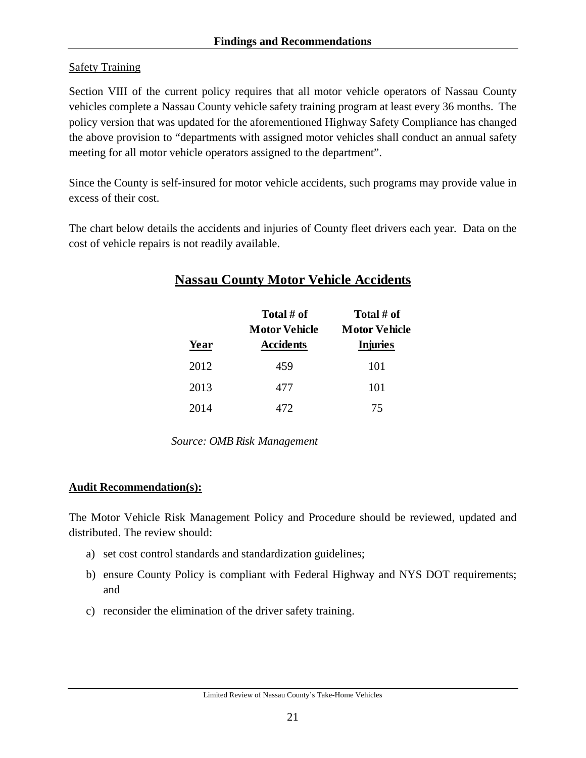## **Safety Training**

Section VIII of the current policy requires that all motor vehicle operators of Nassau County vehicles complete a Nassau County vehicle safety training program at least every 36 months. The policy version that was updated for the aforementioned Highway Safety Compliance has changed the above provision to "departments with assigned motor vehicles shall conduct an annual safety meeting for all motor vehicle operators assigned to the department".

Since the County is self-insured for motor vehicle accidents, such programs may provide value in excess of their cost.

The chart below details the accidents and injuries of County fleet drivers each year. Data on the cost of vehicle repairs is not readily available.

# **Nassau County Motor Vehicle Accidents**

| Year | Total # of<br><b>Motor Vehicle</b><br><b>Accidents</b> | Total # of<br><b>Motor Vehicle</b><br><b>Injuries</b> |
|------|--------------------------------------------------------|-------------------------------------------------------|
| 2012 | 459                                                    | 101                                                   |
| 2013 | 477                                                    | 101                                                   |
| 2014 | 472                                                    | 75                                                    |

*Source: OMB Risk Management*

### **Audit Recommendation(s):**

The Motor Vehicle Risk Management Policy and Procedure should be reviewed, updated and distributed. The review should:

- a) set cost control standards and standardization guidelines;
- b) ensure County Policy is compliant with Federal Highway and NYS DOT requirements; and
- c) reconsider the elimination of the driver safety training.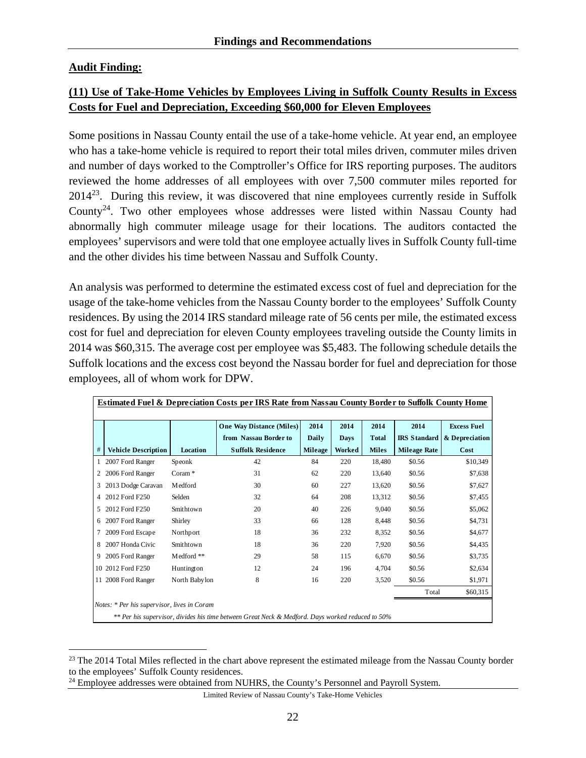## **Audit Finding:**

<u>.</u>

## **(11) Use of Take-Home Vehicles by Employees Living in Suffolk County Results in Excess Costs for Fuel and Depreciation, Exceeding \$60,000 for Eleven Employees**

Some positions in Nassau County entail the use of a take-home vehicle. At year end, an employee who has a take-home vehicle is required to report their total miles driven, commuter miles driven and number of days worked to the Comptroller's Office for IRS reporting purposes. The auditors reviewed the home addresses of all employees with over 7,500 commuter miles reported for  $2014^{23}$ . During this review, it was discovered that nine employees currently reside in Suffolk County<sup>24</sup>. Two other employees whose addresses were listed within Nassau County had abnormally high commuter mileage usage for their locations. The auditors contacted the employees' supervisors and were told that one employee actually lives in Suffolk County full-time and the other divides his time between Nassau and Suffolk County.

An analysis was performed to determine the estimated excess cost of fuel and depreciation for the usage of the take-home vehicles from the Nassau County border to the employees' Suffolk County residences. By using the 2014 IRS standard mileage rate of 56 cents per mile, the estimated excess cost for fuel and depreciation for eleven County employees traveling outside the County limits in 2014 was \$60,315. The average cost per employee was \$5,483. The following schedule details the Suffolk locations and the excess cost beyond the Nassau border for fuel and depreciation for those employees, all of whom work for DPW.

|    | Estimated Fuel & Depreciation Costs per IRS Rate from Nassau County Border to Suffolk County Home |               |                                 |                |             |              |                     |                    |
|----|---------------------------------------------------------------------------------------------------|---------------|---------------------------------|----------------|-------------|--------------|---------------------|--------------------|
|    |                                                                                                   |               | <b>One Way Distance (Miles)</b> | 2014           | 2014        | 2014         | 2014                | <b>Excess Fuel</b> |
|    |                                                                                                   |               | from Nassau Border to           | Daily          | <b>Days</b> | <b>Total</b> | <b>IRS</b> Standard | & Depreciation     |
| #  | <b>Vehicle Description</b>                                                                        | Location      | <b>Suffolk Residence</b>        | <b>Mileage</b> | Worked      | <b>Miles</b> | <b>Mileage Rate</b> | Cost               |
|    | 2007 Ford Ranger                                                                                  | Speonk        | 42                              | 84             | 220         | 18,480       | \$0.56              | \$10,349           |
| 2  | 2006 Ford Ranger                                                                                  | Coram $*$     | 31                              | 62             | 220         | 13.640       | \$0.56              | \$7,638            |
| 3  | 2013 Dodge Caravan                                                                                | Medford       | 30                              | 60             | 227         | 13,620       | \$0.56              | \$7,627            |
| 4  | 2012 Ford F250                                                                                    | Selden        | 32                              | 64             | 208         | 13,312       | \$0.56              | \$7,455            |
| 5. | 2012 Ford F250                                                                                    | Smithtown     | 20                              | 40             | 226         | 9,040        | \$0.56              | \$5,062            |
| 6  | 2007 Ford Ranger                                                                                  | Shirley       | 33                              | 66             | 128         | 8,448        | \$0.56              | \$4,731            |
| 7  | 2009 Ford Escape                                                                                  | Northport     | 18                              | 36             | 232         | 8,352        | \$0.56              | \$4,677            |
| 8  | 2007 Honda Civic                                                                                  | Smithtown     | 18                              | 36             | 220         | 7,920        | \$0.56              | \$4,435            |
| 9  | 2005 Ford Ranger                                                                                  | Medford **    | 29                              | 58             | 115         | 6,670        | \$0.56              | \$3,735            |
|    | 10 2012 Ford F250                                                                                 | Huntington    | 12                              | 24             | 196         | 4.704        | \$0.56              | \$2,634            |
|    | 11 2008 Ford Ranger                                                                               | North Babylon | 8                               | 16             | 220         | 3,520        | \$0.56              | \$1,971            |
|    |                                                                                                   |               |                                 |                |             |              | Total               | \$60,315           |
|    | Notes: * Per his supervisor, lives in Coram                                                       |               |                                 |                |             |              |                     |                    |
|    | ** Per his supervisor, divides his time between Great Neck & Medford. Days worked reduced to 50%  |               |                                 |                |             |              |                     |                    |

<sup>&</sup>lt;sup>23</sup> The 2014 Total Miles reflected in the chart above represent the estimated mileage from the Nassau County border to the employees' Suffolk County residences.

<sup>&</sup>lt;sup>24</sup> Employee addresses were obtained from NUHRS, the County's Personnel and Payroll System.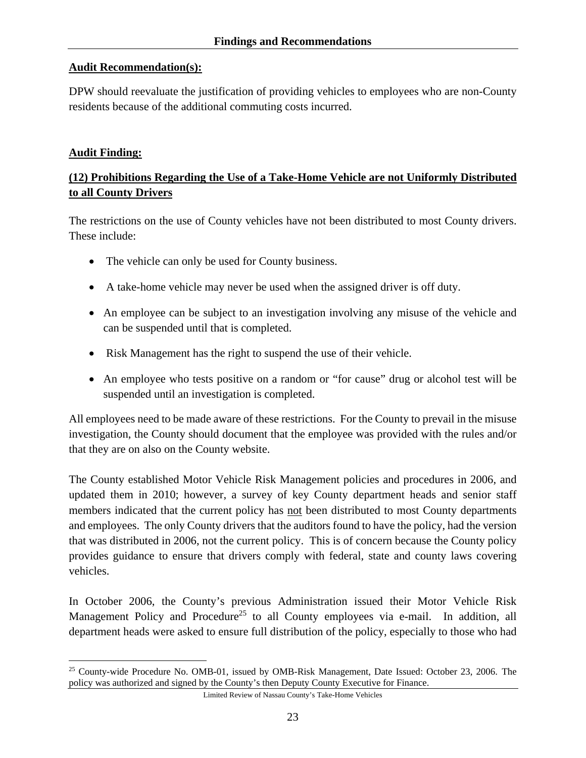#### **Audit Recommendation(s):**

DPW should reevaluate the justification of providing vehicles to employees who are non-County residents because of the additional commuting costs incurred.

#### **Audit Finding:**

1

## **(12) Prohibitions Regarding the Use of a Take-Home Vehicle are not Uniformly Distributed to all County Drivers**

The restrictions on the use of County vehicles have not been distributed to most County drivers. These include:

- The vehicle can only be used for County business.
- A take-home vehicle may never be used when the assigned driver is off duty.
- An employee can be subject to an investigation involving any misuse of the vehicle and can be suspended until that is completed.
- Risk Management has the right to suspend the use of their vehicle.
- An employee who tests positive on a random or "for cause" drug or alcohol test will be suspended until an investigation is completed.

All employees need to be made aware of these restrictions. For the County to prevail in the misuse investigation, the County should document that the employee was provided with the rules and/or that they are on also on the County website.

The County established Motor Vehicle Risk Management policies and procedures in 2006, and updated them in 2010; however, a survey of key County department heads and senior staff members indicated that the current policy has not been distributed to most County departments and employees. The only County drivers that the auditors found to have the policy, had the version that was distributed in 2006, not the current policy. This is of concern because the County policy provides guidance to ensure that drivers comply with federal, state and county laws covering vehicles.

In October 2006, the County's previous Administration issued their Motor Vehicle Risk Management Policy and Procedure<sup>25</sup> to all County employees via e-mail. In addition, all department heads were asked to ensure full distribution of the policy, especially to those who had

<sup>25</sup> County-wide Procedure No. OMB-01, issued by OMB-Risk Management, Date Issued: October 23, 2006. The policy was authorized and signed by the County's then Deputy County Executive for Finance.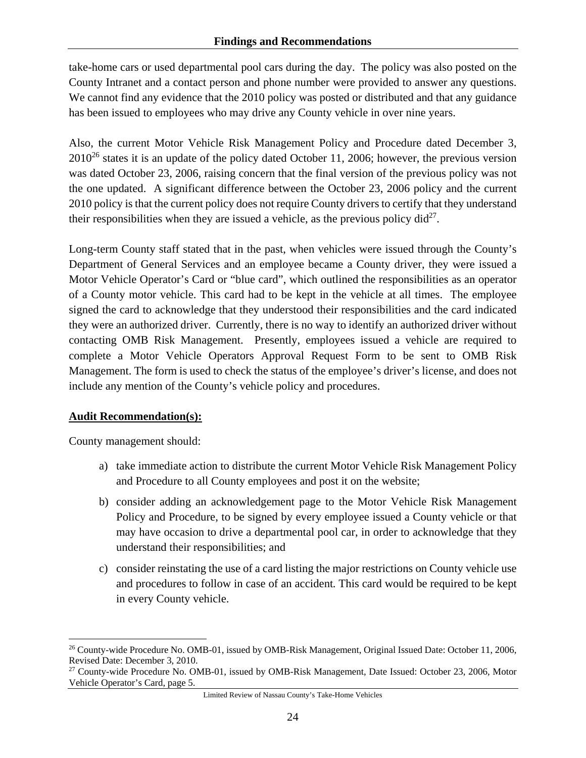take-home cars or used departmental pool cars during the day. The policy was also posted on the County Intranet and a contact person and phone number were provided to answer any questions. We cannot find any evidence that the 2010 policy was posted or distributed and that any guidance has been issued to employees who may drive any County vehicle in over nine years.

Also, the current Motor Vehicle Risk Management Policy and Procedure dated December 3,  $2010^{26}$  states it is an update of the policy dated October 11, 2006; however, the previous version was dated October 23, 2006, raising concern that the final version of the previous policy was not the one updated. A significant difference between the October 23, 2006 policy and the current 2010 policy is that the current policy does not require County drivers to certify that they understand their responsibilities when they are issued a vehicle, as the previous policy  $di^{27}$ .

Long-term County staff stated that in the past, when vehicles were issued through the County's Department of General Services and an employee became a County driver, they were issued a Motor Vehicle Operator's Card or "blue card", which outlined the responsibilities as an operator of a County motor vehicle. This card had to be kept in the vehicle at all times. The employee signed the card to acknowledge that they understood their responsibilities and the card indicated they were an authorized driver. Currently, there is no way to identify an authorized driver without contacting OMB Risk Management. Presently, employees issued a vehicle are required to complete a Motor Vehicle Operators Approval Request Form to be sent to OMB Risk Management. The form is used to check the status of the employee's driver's license, and does not include any mention of the County's vehicle policy and procedures.

## **Audit Recommendation(s):**

County management should:

 $\overline{a}$ 

- a) take immediate action to distribute the current Motor Vehicle Risk Management Policy and Procedure to all County employees and post it on the website;
- b) consider adding an acknowledgement page to the Motor Vehicle Risk Management Policy and Procedure, to be signed by every employee issued a County vehicle or that may have occasion to drive a departmental pool car, in order to acknowledge that they understand their responsibilities; and
- c) consider reinstating the use of a card listing the major restrictions on County vehicle use and procedures to follow in case of an accident. This card would be required to be kept in every County vehicle.

<sup>26</sup> County-wide Procedure No. OMB-01, issued by OMB-Risk Management, Original Issued Date: October 11, 2006, Revised Date: December 3, 2010.

<sup>27</sup> County-wide Procedure No. OMB-01, issued by OMB-Risk Management, Date Issued: October 23, 2006, Motor Vehicle Operator's Card, page 5.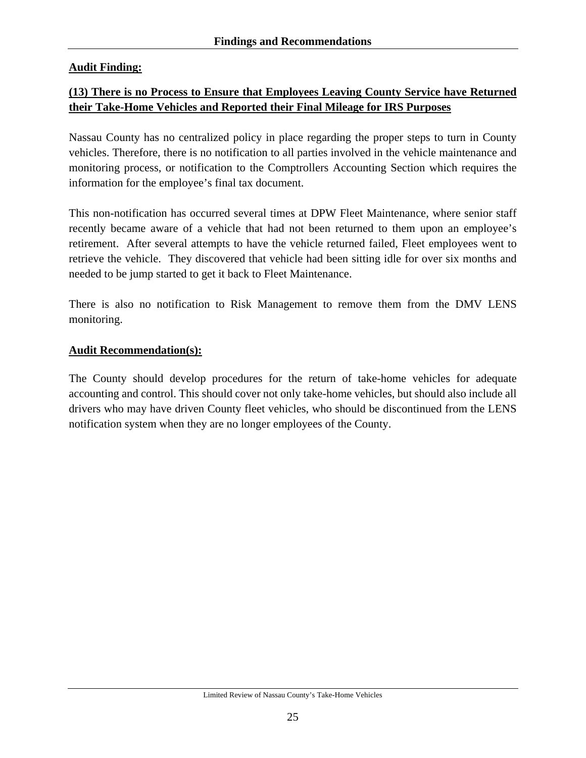## **Audit Finding:**

## **(13) There is no Process to Ensure that Employees Leaving County Service have Returned their Take-Home Vehicles and Reported their Final Mileage for IRS Purposes**

Nassau County has no centralized policy in place regarding the proper steps to turn in County vehicles. Therefore, there is no notification to all parties involved in the vehicle maintenance and monitoring process, or notification to the Comptrollers Accounting Section which requires the information for the employee's final tax document.

This non-notification has occurred several times at DPW Fleet Maintenance, where senior staff recently became aware of a vehicle that had not been returned to them upon an employee's retirement. After several attempts to have the vehicle returned failed, Fleet employees went to retrieve the vehicle. They discovered that vehicle had been sitting idle for over six months and needed to be jump started to get it back to Fleet Maintenance.

There is also no notification to Risk Management to remove them from the DMV LENS monitoring.

### **Audit Recommendation(s):**

The County should develop procedures for the return of take-home vehicles for adequate accounting and control. This should cover not only take-home vehicles, but should also include all drivers who may have driven County fleet vehicles, who should be discontinued from the LENS notification system when they are no longer employees of the County.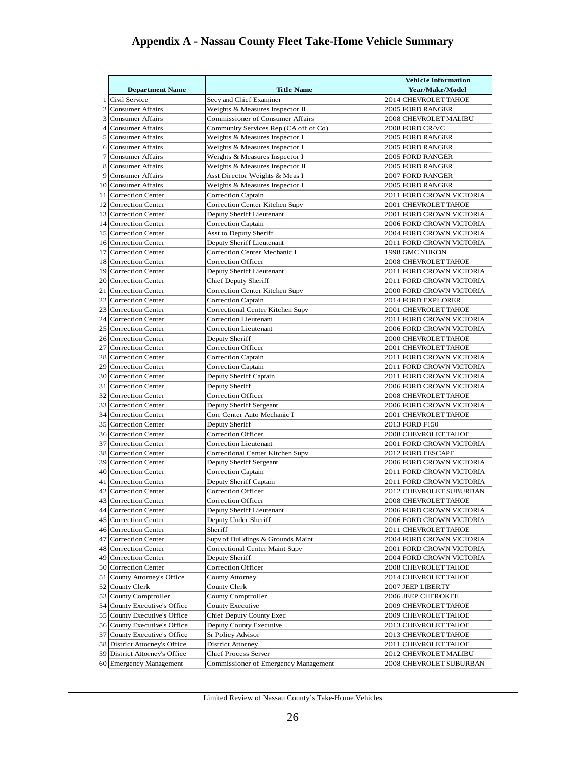|              |                               |                                         | <b>Vehicle Information</b>  |
|--------------|-------------------------------|-----------------------------------------|-----------------------------|
|              | <b>Department Name</b>        | <b>Title Name</b>                       | Year/Make/Model             |
| 1            | Civil Service                 | Secy and Chief Examiner                 | 2014 CHEVROLET TAHOE        |
| 2            | <b>Consumer Affairs</b>       | Weights & Measures Inspector II         | 2005 FORD RANGER            |
| $\mathbf{3}$ | <b>Consumer Affairs</b>       | <b>Commissioner of Consumer Affairs</b> | 2008 CHEVROLET MALIBU       |
| 4            | <b>Consumer Affairs</b>       | Community Services Rep (CA off of Co)   | 2008 FORD CR/VC             |
|              | 5 Consumer Affairs            | Weights & Measures Inspector I          | 2005 FORD RANGER            |
|              | 6 Consumer Affairs            | Weights & Measures Inspector I          | <b>2005 FORD RANGER</b>     |
| 7            | <b>Consumer Affairs</b>       | Weights & Measures Inspector I          | <b>2005 FORD RANGER</b>     |
| 8            | <b>Consumer Affairs</b>       | Weights & Measures Inspector II         | 2005 FORD RANGER            |
| 9            | <b>Consumer Affairs</b>       | Asst Director Weights & Meas I          | <b>2007 FORD RANGER</b>     |
| 10           | <b>Consumer Affairs</b>       | Weights & Measures Inspector I          | <b>2005 FORD RANGER</b>     |
| 11           | <b>Correction Center</b>      | <b>Correction Captain</b>               | 2011 FORD CROWN VICTORIA    |
|              | 12 Correction Center          | Correction Center Kitchen Supv          | 2001 CHEVROLET TAHOE        |
|              | 13 Correction Center          | Deputy Sheriff Lieutenant               | 2001 FORD CROWN VICTORIA    |
|              | 14 Correction Center          | <b>Correction Captain</b>               | 2006 FORD CROWN VICTORIA    |
|              | 15 Correction Center          | Asst to Deputy Sheriff                  | 2004 FORD CROWN VICTORIA    |
|              | 16 Correction Center          | Deputy Sheriff Lieutenant               | 2011 FORD CROWN VICTORIA    |
|              | 17 Correction Center          | Correction Center Mechanic I            | 1998 GMC YUKON              |
|              | 18 Correction Center          | Correction Officer                      | <b>2008 CHEVROLET TAHOE</b> |
| 19           | <b>Correction Center</b>      | Deputy Sheriff Lieutenant               | 2011 FORD CROWN VICTORIA    |
|              | 20 Correction Center          | Chief Deputy Sheriff                    | 2011 FORD CROWN VICTORIA    |
| 21           | <b>Correction Center</b>      | Correction Center Kitchen Supv          | 2000 FORD CROWN VICTORIA    |
| 22           | <b>Correction Center</b>      | Correction Captain                      | <b>2014 FORD EXPLORER</b>   |
|              | 23 Correction Center          | Correctional Center Kitchen Supv        | 2001 CHEVROLET TAHOE        |
|              | 24 Correction Center          | Correction Lieutenant                   | 2011 FORD CROWN VICTORIA    |
| 25           | <b>Correction Center</b>      | <b>Correction Lieutenant</b>            | 2006 FORD CROWN VICTORIA    |
|              | 26 Correction Center          | Deputy Sheriff                          | 2000 CHEVROLET TAHOE        |
| 27           | <b>Correction Center</b>      | Correction Officer                      | 2001 CHEVROLET TAHOE        |
| 28           | <b>Correction Center</b>      | Correction Captain                      | 2011 FORD CROWN VICTORIA    |
|              | 29 Correction Center          |                                         |                             |
|              |                               | <b>Correction Captain</b>               | 2011 FORD CROWN VICTORIA    |
|              | 30 Correction Center          | Deputy Sheriff Captain                  | 2011 FORD CROWN VICTORIA    |
| 31           | <b>Correction Center</b>      | Deputy Sheriff                          | 2006 FORD CROWN VICTORIA    |
|              | 32 Correction Center          | Correction Officer                      | 2008 CHEVROLET TAHOE        |
|              | 33 Correction Center          | Deputy Sheriff Sergeant                 | 2006 FORD CROWN VICTORIA    |
|              | 34 Correction Center          | Corr Center Auto Mechanic I             | 2001 CHEVROLET TAHOE        |
|              | 35 Correction Center          | Deputy Sheriff                          | 2013 FORD F150              |
|              | 36 Correction Center          | Correction Officer                      | 2008 CHEVROLET TAHOE        |
| 37           | <b>Correction Center</b>      | <b>Correction Lieutenant</b>            | 2001 FORD CROWN VICTORIA    |
|              | 38 Correction Center          | Correctional Center Kitchen Supv        | 2012 FORD EESCAPE           |
|              | 39 Correction Center          | Deputy Sheriff Sergeant                 | 2006 FORD CROWN VICTORIA    |
|              | 40 Correction Center          | Correction Captain                      | 2011 FORD CROWN VICTORIA    |
|              | 41 Correction Center          | Deputy Sheriff Captain                  | 2011 FORD CROWN VICTORIA    |
|              | 42 Correction Center          | Correction Officer                      | 2012 CHEVROLET SUBURBAN     |
|              | 43 Correction Center          | Correction Officer                      | <b>2008 CHEVROLET TAHOE</b> |
|              | 44 Correction Center          | Deputy Sheriff Lieutenant               | 2006 FORD CROWN VICTORIA    |
|              | 45 Correction Center          | Deputy Under Sheriff                    | 2006 FORD CROWN VICTORIA    |
|              | 46 Correction Center          | Sheriff                                 | 2011 CHEVROLET TAHOE        |
|              | 47 Correction Center          | Supv of Buildings & Grounds Maint       | 2004 FORD CROWN VICTORIA    |
|              | 48 Correction Center          | Correctional Center Maint Supv          | 2001 FORD CROWN VICTORIA    |
|              | 49 Correction Center          | Deputy Sheriff                          | 2004 FORD CROWN VICTORIA    |
|              | 50 Correction Center          | Correction Officer                      | 2008 CHEVROLET TAHOE        |
|              | 51 County Attorney's Office   | County Attorney                         | 2014 CHEVROLET TAHOE        |
|              | 52 County Clerk               | County Clerk                            | 2007 JEEP LIBERTY           |
|              | 53 County Comptroller         | County Comptroller                      | 2006 JEEP CHEROKEE          |
|              | 54 County Executive's Office  | County Executive                        | 2009 CHEVROLET TAHOE        |
|              | 55 County Executive's Office  | Chief Deputy County Exec                | 2009 CHEVROLET TAHOE        |
|              | 56 County Executive's Office  | Deputy County Executive                 | 2013 CHEVROLET TAHOE        |
|              | 57 County Executive's Office  | Sr Policy Advisor                       | 2013 CHEVROLET TAHOE        |
|              | 58 District Attorney's Office | District Attorney                       | 2011 CHEVROLET TAHOE        |
|              | 59 District Attorney's Office | Chief Process Server                    | 2012 CHEVROLET MALIBU       |
|              | 60 Emergency Management       | Commissioner of Emergency Management    | 2008 CHEVROLET SUBURBAN     |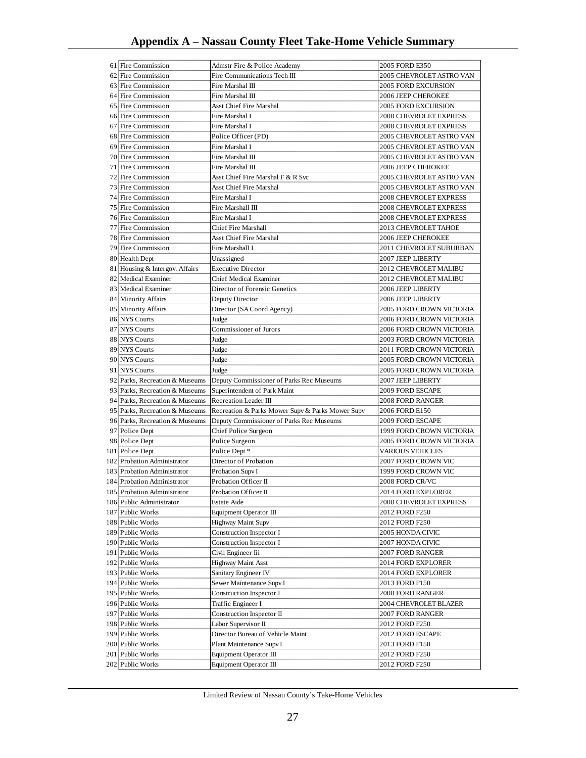| 61 Fire Commission                   | Admstr Fire & Police Academy                     | 2005 FORD E350                   |
|--------------------------------------|--------------------------------------------------|----------------------------------|
| 62 Fire Commission                   | Fire Communications Tech III                     | 2005 CHEVROLET ASTRO VAN         |
| 63 Fire Commission                   | Fire Marshal III                                 | <b>2005 FORD EXCURSION</b>       |
| 64 Fire Commission                   | Fire Marshal III                                 | <b>2006 JEEP CHEROKEE</b>        |
| 65 Fire Commission                   | Asst Chief Fire Marshal                          | <b>2005 FORD EXCURSION</b>       |
| 66 Fire Commission                   | Fire Marshal I                                   | <b>2008 CHEVROLET EXPRESS</b>    |
| 67 Fire Commission                   | Fire Marshal I                                   | <b>2008 CHEVROLET EXPRESS</b>    |
| 68 Fire Commission                   | Police Officer (PD)                              | 2005 CHEVROLET ASTRO VAN         |
| 69 Fire Commission                   | Fire Marshal I                                   | 2005 CHEVROLET ASTRO VAN         |
| 70 Fire Commission                   | Fire Marshal III                                 | 2005 CHEVROLET ASTRO VAN         |
| 71 Fire Commission                   | Fire Marshal III                                 | 2006 JEEP CHEROKEE               |
| 72 Fire Commission                   | Asst Chief Fire Marshal F & R Svc                | 2005 CHEVROLET ASTRO VAN         |
| 73 Fire Commission                   | <b>Asst Chief Fire Marshal</b>                   | 2005 CHEVROLET ASTRO VAN         |
| 74 Fire Commission                   | Fire Marshal I                                   |                                  |
|                                      |                                                  | <b>2008 CHEVROLET EXPRESS</b>    |
| 75 Fire Commission                   | Fire Marshall III                                | <b>2008 CHEVROLET EXPRESS</b>    |
| 76 Fire Commission                   | Fire Marshal I                                   | <b>2008 CHEVROLET EXPRESS</b>    |
| 77 Fire Commission                   | Chief Fire Marshall                              | <b>2013 CHEVROLET TAHOE</b>      |
| 78 Fire Commission                   | Asst Chief Fire Marshal                          | <b>2006 JEEP CHEROKEE</b>        |
| 79 Fire Commission                   | Fire Marshall I                                  | 2011 CHEVROLET SUBURBAN          |
| 80 Health Dept                       | Unassigned                                       | 2007 JEEP LIBERTY                |
| 81 Housing & Intergov. Affairs       | <b>Executive Director</b>                        | <b>2012 CHEVROLET MALIBU</b>     |
| 82 Medical Examiner                  | Chief Medical Examiner                           | <b>2012 CHEVROLET MALIBU</b>     |
| 83 Medical Examiner                  | Director of Forensic Genetics                    | 2006 JEEP LIBERTY                |
| 84 Minority Affairs                  | Deputy Director                                  | 2006 JEEP LIBERTY                |
| 85 Minority Affairs                  | Director (SA Coord Agency)                       | 2005 FORD CROWN VICTORIA         |
| 86 NYS Courts                        | Judge                                            | 2006 FORD CROWN VICTORIA         |
| 87 NYS Courts                        | Commissioner of Jurors                           | <b>2006 FORD CROWN VICTORIA</b>  |
| 88 NYS Courts                        | Judge                                            | 2003 FORD CROWN VICTORIA         |
| 89 NYS Courts                        | Judge                                            | 2011 FORD CROWN VICTORIA         |
| 90 NYS Courts                        | Judge                                            | 2005 FORD CROWN VICTORIA         |
| 91 NYS Courts                        | Judge                                            | <b>2005 FORD CROWN VICTORIA</b>  |
| 92 Parks, Recreation & Museums       | Deputy Commissioner of Parks Rec Museums         | 2007 JEEP LIBERTY                |
| 93 Parks, Recreation & Museums       | Superintendent of Park Maint                     | 2009 FORD ESCAPE                 |
| 94 Parks, Recreation & Museums       | Recreation Leader III                            | 2008 FORD RANGER                 |
| 95 Parks, Recreation & Museums       |                                                  |                                  |
|                                      | Recreation & Parks Mower Supv & Parks Mower Supv | 2006 FORD E150                   |
| 96 Parks, Recreation & Museums       | Deputy Commissioner of Parks Rec Museums         | 2009 FORD ESCAPE                 |
| 97 Police Dept                       | Chief Police Surgeon                             | 1999 FORD CROWN VICTORIA         |
| 98 Police Dept                       | Police Surgeon                                   | 2005 FORD CROWN VICTORIA         |
| 181 Police Dept                      | Police Dept *                                    | VARIOUS VEHICLES                 |
| 182 Probation Administrator          | Director of Probation                            | 2007 FORD CROWN VIC              |
| 183 Probation Administrator          | Probation Supv I                                 | 1999 FORD CROWN VIC              |
| 184 Probation Administrator          | Probation Officer II                             | 2008 FORD CR/VC                  |
| 185 Probation Administrator          | Probation Officer II                             | 2014 FORD EXPLORER               |
| 186 Public Administrator             | Estate Aide                                      | 2008 CHEVROLET EXPRESS           |
| 187 Public Works                     | Equipment Operator III                           | 2012 FORD F250                   |
| 188 Public Works                     | <b>Highway Maint Supv</b>                        | 2012 FORD F250                   |
| 189 Public Works                     | Construction Inspector I                         | 2005 HONDA CIVIC                 |
| 190 Public Works                     | Construction Inspector I                         | 2007 HONDA CIVIC                 |
| 191 Public Works                     | Civil Engineer Iii                               | 2007 FORD RANGER                 |
| 192 Public Works                     | Highway Maint Asst                               | 2014 FORD EXPLORER               |
| 193 Public Works                     | Sanitary Engineer IV                             | 2014 FORD EXPLORER               |
| 194 Public Works                     | Sewer Maintenance Supv I                         | 2013 FORD F150                   |
|                                      |                                                  |                                  |
|                                      |                                                  |                                  |
| 195 Public Works                     | Construction Inspector I<br>Traffic Engineer I   | 2008 FORD RANGER                 |
| 196 Public Works                     |                                                  | 2004 CHEVROLET BLAZER            |
| 197 Public Works                     | Construction Inspector II                        | 2007 FORD RANGER                 |
| 198 Public Works                     | Labor Supervisor II                              | 2012 FORD F250                   |
| 199 Public Works                     | Director Bureau of Vehicle Maint                 | 2012 FORD ESCAPE                 |
| 200 Public Works                     | Plant Maintenance Supv I                         | 2013 FORD F150                   |
| 201 Public Works<br>202 Public Works | Equipment Operator III<br>Equipment Operator III | 2012 FORD F250<br>2012 FORD F250 |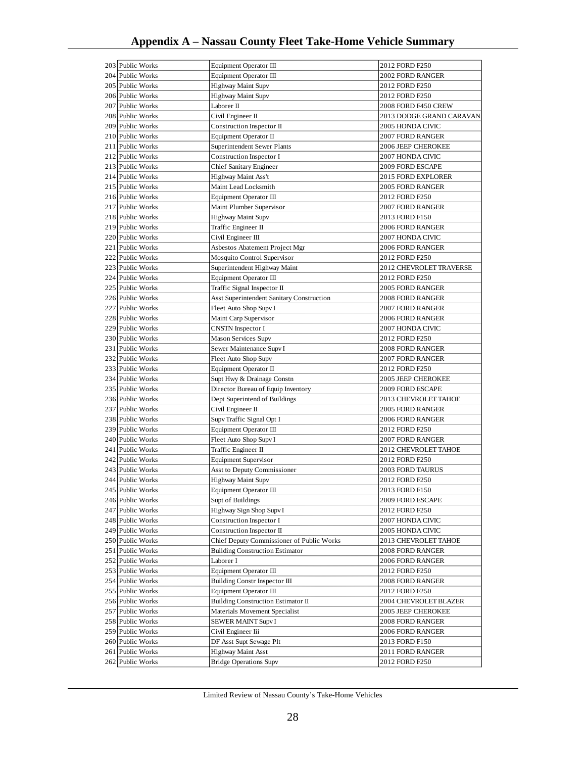| 203 Public Works | Equipment Operator III                    | 2012 FORD F250                 |  |
|------------------|-------------------------------------------|--------------------------------|--|
| 204 Public Works | Equipment Operator III                    | 2002 FORD RANGER               |  |
| 205 Public Works | Highway Maint Supv                        | 2012 FORD F250                 |  |
| 206 Public Works | <b>Highway Maint Supv</b>                 | 2012 FORD F250                 |  |
| 207 Public Works | Laborer II                                | 2008 FORD F450 CREW            |  |
| 208 Public Works | Civil Engineer II                         | 2013 DODGE GRAND CARAVAN       |  |
| 209 Public Works | Construction Inspector II                 | 2005 HONDA CIVIC               |  |
| 210 Public Works | Equipment Operator II                     | 2007 FORD RANGER               |  |
| 211 Public Works | Superintendent Sewer Plants               | 2006 JEEP CHEROKEE             |  |
|                  |                                           | 2007 HONDA CIVIC               |  |
| 212 Public Works | Construction Inspector I                  |                                |  |
| 213 Public Works | Chief Sanitary Engineer                   | 2009 FORD ESCAPE               |  |
| 214 Public Works | Highway Maint Ass't                       | 2015 FORD EXPLORER             |  |
| 215 Public Works | Maint Lead Locksmith                      | 2005 FORD RANGER               |  |
| 216 Public Works | Equipment Operator III                    | 2012 FORD F250                 |  |
| 217 Public Works | Maint Plumber Supervisor                  | 2007 FORD RANGER               |  |
| 218 Public Works | Highway Maint Supv                        | 2013 FORD F150                 |  |
| 219 Public Works | Traffic Engineer II                       | 2006 FORD RANGER               |  |
| 220 Public Works | Civil Engineer III                        | 2007 HONDA CIVIC               |  |
| 221 Public Works | Asbestos Abatement Project Mgr            | 2006 FORD RANGER               |  |
| 222 Public Works | Mosquito Control Supervisor               | 2012 FORD F250                 |  |
| 223 Public Works | Superintendent Highway Maint              | <b>2012 CHEVROLET TRAVERSE</b> |  |
| 224 Public Works | Equipment Operator III                    | 2012 FORD F250                 |  |
| 225 Public Works |                                           | <b>2005 FORD RANGER</b>        |  |
|                  | Traffic Signal Inspector II               |                                |  |
| 226 Public Works | Asst Superintendent Sanitary Construction | <b>2008 FORD RANGER</b>        |  |
| 227 Public Works | Fleet Auto Shop Supv I                    | 2007 FORD RANGER               |  |
| 228 Public Works | Maint Carp Supervisor                     | 2006 FORD RANGER               |  |
| 229 Public Works | <b>CNSTN</b> Inspector I                  | 2007 HONDA CIVIC               |  |
| 230 Public Works | <b>Mason Services Supv</b>                | 2012 FORD F250                 |  |
| 231 Public Works | Sewer Maintenance Supv I                  | <b>2008 FORD RANGER</b>        |  |
| 232 Public Works | Fleet Auto Shop Supv                      | <b>2007 FORD RANGER</b>        |  |
| 233 Public Works | Equipment Operator II                     | 2012 FORD F250                 |  |
| 234 Public Works | Supt Hwy & Drainage Constn                | <b>2005 JEEP CHEROKEE</b>      |  |
| 235 Public Works | Director Bureau of Equip Inventory        | 2009 FORD ESCAPE               |  |
| 236 Public Works | Dept Superintend of Buildings             | 2013 CHEVROLET TAHOE           |  |
| 237 Public Works | Civil Engineer II                         | 2005 FORD RANGER               |  |
| 238 Public Works | Supv Traffic Signal Opt I                 | 2006 FORD RANGER               |  |
| 239 Public Works | Equipment Operator III                    | 2012 FORD F250                 |  |
| 240 Public Works |                                           | 2007 FORD RANGER               |  |
|                  | Fleet Auto Shop Supv I                    |                                |  |
| 241 Public Works | Traffic Engineer II                       | 2012 CHEVROLET TAHOE           |  |
| 242 Public Works | <b>Equipment Supervisor</b>               | 2012 FORD F250                 |  |
| 243 Public Works | Asst to Deputy Commissioner               | <b>2003 FORD TAURUS</b>        |  |
| 244 Public Works | Highway Maint Supv                        | 2012 FORD F250                 |  |
| 245 Public Works | Equipment Operator III                    | 2013 FORD F150                 |  |
| 246 Public Works | Supt of Buildings                         | 2009 FORD ESCAPE               |  |
| 247 Public Works | Highway Sign Shop Supv I                  | 2012 FORD F250                 |  |
| 248 Public Works | Construction Inspector I                  | 2007 HONDA CIVIC               |  |
| 249 Public Works | Construction Inspector II                 | 2005 HONDA CIVIC               |  |
| 250 Public Works | Chief Deputy Commissioner of Public Works | 2013 CHEVROLET TAHOE           |  |
| 251 Public Works | <b>Building Construction Estimator</b>    | 2008 FORD RANGER               |  |
| 252 Public Works | Laborer I                                 | 2006 FORD RANGER               |  |
| 253 Public Works | Equipment Operator III                    | 2012 FORD F250                 |  |
| 254 Public Works | Building Constr Inspector III             | 2008 FORD RANGER               |  |
| 255 Public Works |                                           | 2012 FORD F250                 |  |
|                  | Equipment Operator III                    |                                |  |
| 256 Public Works | Building Construction Estimator II        | 2004 CHEVROLET BLAZER          |  |
| 257 Public Works | Materials Movement Specialist             | 2005 JEEP CHEROKEE             |  |
| 258 Public Works | SEWER MAINT Supv I                        | 2008 FORD RANGER               |  |
| 259 Public Works | Civil Engineer Iii                        | 2006 FORD RANGER               |  |
| 260 Public Works | DF Asst Supt Sewage Plt                   | 2013 FORD F150                 |  |
| 261 Public Works | Highway Maint Asst                        | 2011 FORD RANGER               |  |
| 262 Public Works | <b>Bridge Operations Supv</b>             | 2012 FORD F250                 |  |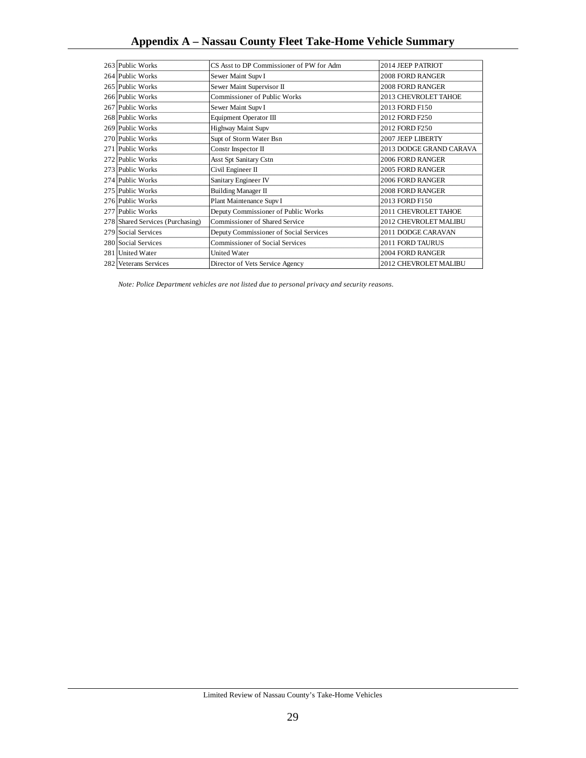| 263 Public Works                 | CS Asst to DP Commissioner of PW for Adm | 2014 JEEP PATRIOT       |
|----------------------------------|------------------------------------------|-------------------------|
| 264 Public Works                 | Sewer Maint Supv I                       | <b>2008 FORD RANGER</b> |
| 265 Public Works                 | Sewer Maint Supervisor II                | <b>2008 FORD RANGER</b> |
| 266 Public Works                 | Commissioner of Public Works             | 2013 CHEVROLET TAHOE    |
| 267 Public Works                 | Sewer Maint Supv I                       | 2013 FORD F150          |
| 268 Public Works                 | Equipment Operator III                   | 2012 FORD F250          |
| 269 Public Works                 | Highway Maint Supv                       | 2012 FORD F250          |
| 270 Public Works                 | Supt of Storm Water Bsn                  | 2007 JEEP LIBERTY       |
| 271 Public Works                 | Constr Inspector II                      | 2013 DODGE GRAND CARAVA |
| 272 Public Works                 | <b>Asst Spt Sanitary Cstn</b>            | 2006 FORD RANGER        |
| 273 Public Works                 | Civil Engineer II                        | <b>2005 FORD RANGER</b> |
| 274 Public Works                 | Sanitary Engineer IV                     | 2006 FORD RANGER        |
| 275 Public Works                 | Building Manager II                      | <b>2008 FORD RANGER</b> |
| 276 Public Works                 | Plant Maintenance Supv I                 | 2013 FORD F150          |
| 277 Public Works                 | Deputy Commissioner of Public Works      | 2011 CHEVROLET TAHOE    |
| 278 Shared Services (Purchasing) | Commissioner of Shared Service           | 2012 CHEVROLET MALIBU   |
| 279 Social Services              | Deputy Commissioner of Social Services   | 2011 DODGE CARAVAN      |
| 280 Social Services              | <b>Commissioner of Social Services</b>   | 2011 FORD TAURUS        |
| 281 United Water                 | <b>United Water</b>                      | 2004 FORD RANGER        |
| 282 Veterans Services            | Director of Vets Service Agency          | 2012 CHEVROLET MALIBU   |

*Note: Police Department vehicles are not listed due to personal privacy and security reasons.*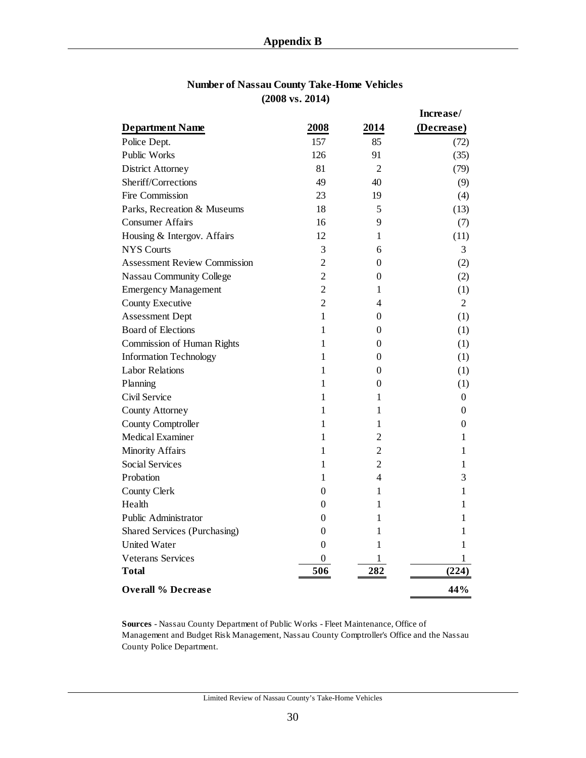|                                     |                |                | Increase/        |
|-------------------------------------|----------------|----------------|------------------|
| <b>Department Name</b>              | 2008           | 2014           | (Decrease)       |
| Police Dept.                        | 157            | 85             | (72)             |
| Public Works                        | 126            | 91             | (35)             |
| <b>District Attorney</b>            | 81             | $\overline{2}$ | (79)             |
| Sheriff/Corrections                 | 49             | 40             | (9)              |
| Fire Commission                     | 23             | 19             | (4)              |
| Parks, Recreation & Museums         | 18             | 5              | (13)             |
| <b>Consumer Affairs</b>             | 16             | 9              | (7)              |
| Housing & Intergov. Affairs         | 12             | 1              | (11)             |
| <b>NYS</b> Courts                   | 3              | 6              | 3                |
| <b>Assessment Review Commission</b> | $\overline{2}$ | $\mathbf{0}$   | (2)              |
| <b>Nassau Community College</b>     | $\overline{2}$ | 0              | (2)              |
| <b>Emergency Management</b>         | $\overline{2}$ | 1              | (1)              |
| <b>County Executive</b>             | $\overline{2}$ | 4              | $\overline{2}$   |
| <b>Assessment Dept</b>              | 1              | $\theta$       | (1)              |
| <b>Board of Elections</b>           | 1              | 0              | (1)              |
| <b>Commission of Human Rights</b>   | 1              | $\theta$       | (1)              |
| <b>Information Technology</b>       | 1              | 0              | (1)              |
| <b>Labor Relations</b>              | 1              | $\theta$       | (1)              |
| Planning                            | 1              | 0              | (1)              |
| Civil Service                       | 1              | 1              | $\boldsymbol{0}$ |
| <b>County Attorney</b>              | 1              | 1              | $\boldsymbol{0}$ |
| County Comptroller                  | 1              | 1              | 0                |
| Medical Examiner                    | 1              | $\overline{2}$ | 1                |
| <b>Minority Affairs</b>             | 1              | $\overline{2}$ | 1                |
| <b>Social Services</b>              | 1              | $\overline{c}$ | 1                |
| Probation                           | 1              | 4              | 3                |
| <b>County Clerk</b>                 | 0              | 1              | 1                |
| Health                              | 0              | 1              | 1                |
| Public Administrator                | $\theta$       | 1              | 1                |
| <b>Shared Services (Purchasing)</b> | 0              | 1              | 1                |
| <b>United Water</b>                 | 0              | 1              | 1                |
| Veterans Services                   | 0              | 1              | 1                |
| Total                               | 506            | 282            | (224)            |
| <b>Overall % Decrease</b>           |                |                | 44%              |

### **Number of Nassau County Take-Home Vehicles (2008 vs. 2014)**

**Sources** - Nassau County Department of Public Works - Fleet Maintenance, Office of Management and Budget Risk Management, Nassau County Comptroller's Office and the Nassau County Police Department.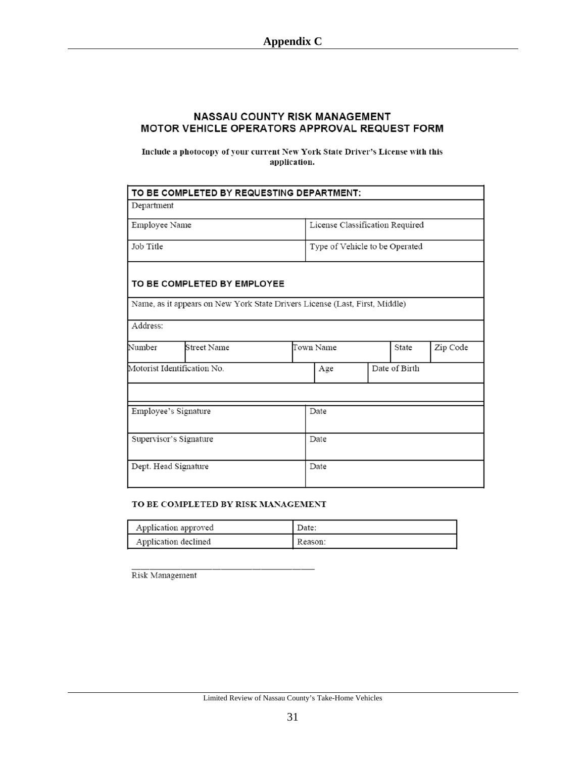#### NASSAU COUNTY RISK MANAGEMENT MOTOR VEHICLE OPERATORS APPROVAL REQUEST FORM

Include a photocopy of your current New York State Driver's License with this application.

|                             | TO BE COMPLETED BY REQUESTING DEPARTMENT:                                   |                                 |               |          |  |
|-----------------------------|-----------------------------------------------------------------------------|---------------------------------|---------------|----------|--|
| Department                  |                                                                             |                                 |               |          |  |
| Employee Name               |                                                                             | License Classification Required |               |          |  |
| Job Title                   |                                                                             | Type of Vehicle to be Operated  |               |          |  |
|                             | TO BE COMPLETED BY EMPLOYEE                                                 |                                 |               |          |  |
|                             | Name, as it appears on New York State Drivers License (Last, First, Middle) |                                 |               |          |  |
| Address:                    |                                                                             |                                 |               |          |  |
| Number                      | Street Name                                                                 | Town Name<br>State              |               | Zip Code |  |
| Motorist Identification No. |                                                                             | Age                             | Date of Birth |          |  |
|                             |                                                                             |                                 |               |          |  |
| Employee's Signature        |                                                                             | Date                            |               |          |  |
| Supervisor's Signature      |                                                                             | Date                            |               |          |  |
| Dept. Head Signature        |                                                                             | Date                            |               |          |  |

#### TO BE COMPLETED BY RISK MANAGEMENT

| Application approved | Date:   |
|----------------------|---------|
| Application declined | Reason: |

Risk Management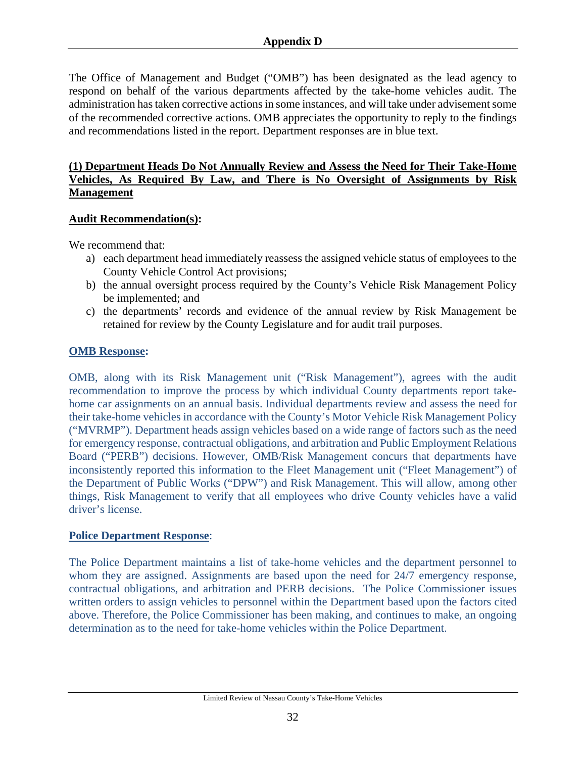The Office of Management and Budget ("OMB") has been designated as the lead agency to respond on behalf of the various departments affected by the take-home vehicles audit. The administration has taken corrective actions in some instances, and will take under advisement some of the recommended corrective actions. OMB appreciates the opportunity to reply to the findings and recommendations listed in the report. Department responses are in blue text.

#### **(1) Department Heads Do Not Annually Review and Assess the Need for Their Take-Home Vehicles, As Required By Law, and There is No Oversight of Assignments by Risk Management**

#### **Audit Recommendation(s):**

We recommend that:

- a) each department head immediately reassess the assigned vehicle status of employees to the County Vehicle Control Act provisions;
- b) the annual oversight process required by the County's Vehicle Risk Management Policy be implemented; and
- c) the departments' records and evidence of the annual review by Risk Management be retained for review by the County Legislature and for audit trail purposes.

### **OMB Response:**

OMB, along with its Risk Management unit ("Risk Management"), agrees with the audit recommendation to improve the process by which individual County departments report takehome car assignments on an annual basis. Individual departments review and assess the need for their take-home vehicles in accordance with the County's Motor Vehicle Risk Management Policy ("MVRMP"). Department heads assign vehicles based on a wide range of factors such as the need for emergency response, contractual obligations, and arbitration and Public Employment Relations Board ("PERB") decisions. However, OMB/Risk Management concurs that departments have inconsistently reported this information to the Fleet Management unit ("Fleet Management") of the Department of Public Works ("DPW") and Risk Management. This will allow, among other things, Risk Management to verify that all employees who drive County vehicles have a valid driver's license.

#### **Police Department Response**:

The Police Department maintains a list of take-home vehicles and the department personnel to whom they are assigned. Assignments are based upon the need for 24/7 emergency response, contractual obligations, and arbitration and PERB decisions. The Police Commissioner issues written orders to assign vehicles to personnel within the Department based upon the factors cited above. Therefore, the Police Commissioner has been making, and continues to make, an ongoing determination as to the need for take-home vehicles within the Police Department.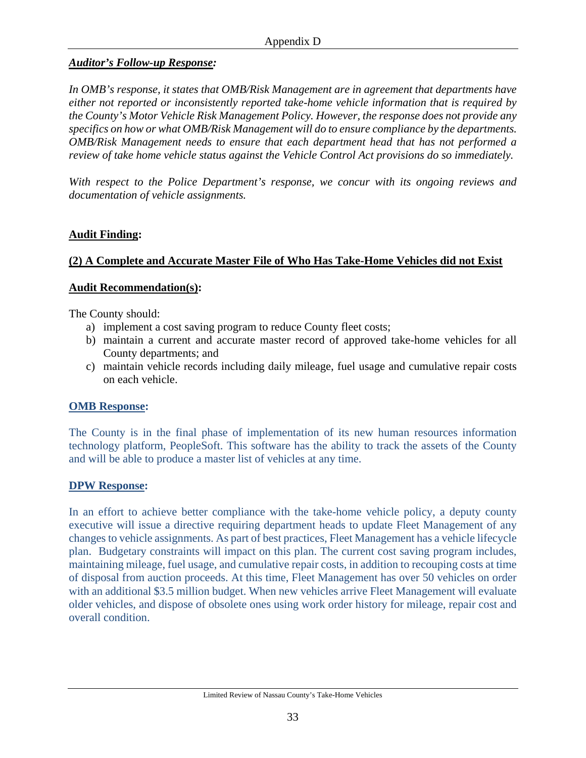## *Auditor's Follow-up Response:*

*In OMB's response, it states that OMB/Risk Management are in agreement that departments have either not reported or inconsistently reported take-home vehicle information that is required by the County's Motor Vehicle Risk Management Policy. However, the response does not provide any specifics on how or what OMB/Risk Management will do to ensure compliance by the departments. OMB/Risk Management needs to ensure that each department head that has not performed a review of take home vehicle status against the Vehicle Control Act provisions do so immediately.* 

*With respect to the Police Department's response, we concur with its ongoing reviews and documentation of vehicle assignments.* 

## **Audit Finding:**

## **(2) A Complete and Accurate Master File of Who Has Take-Home Vehicles did not Exist**

#### **Audit Recommendation(s):**

The County should:

- a) implement a cost saving program to reduce County fleet costs;
- b) maintain a current and accurate master record of approved take-home vehicles for all County departments; and
- c) maintain vehicle records including daily mileage, fuel usage and cumulative repair costs on each vehicle.

### **OMB Response:**

The County is in the final phase of implementation of its new human resources information technology platform, PeopleSoft. This software has the ability to track the assets of the County and will be able to produce a master list of vehicles at any time.

### **DPW Response:**

In an effort to achieve better compliance with the take-home vehicle policy, a deputy county executive will issue a directive requiring department heads to update Fleet Management of any changes to vehicle assignments. As part of best practices, Fleet Management has a vehicle lifecycle plan. Budgetary constraints will impact on this plan. The current cost saving program includes, maintaining mileage, fuel usage, and cumulative repair costs, in addition to recouping costs at time of disposal from auction proceeds. At this time, Fleet Management has over 50 vehicles on order with an additional \$3.5 million budget. When new vehicles arrive Fleet Management will evaluate older vehicles, and dispose of obsolete ones using work order history for mileage, repair cost and overall condition.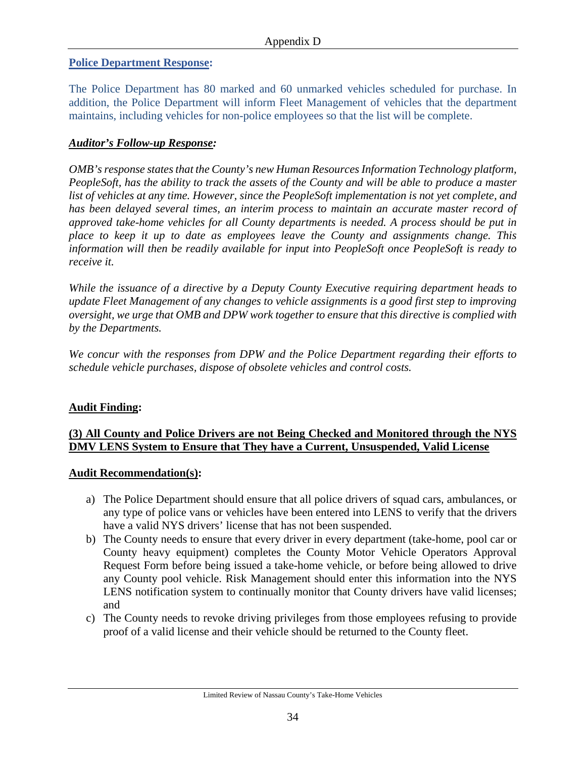#### **Police Department Response:**

The Police Department has 80 marked and 60 unmarked vehicles scheduled for purchase. In addition, the Police Department will inform Fleet Management of vehicles that the department maintains, including vehicles for non-police employees so that the list will be complete.

#### *Auditor's Follow-up Response:*

*OMB's response states that the County's new Human Resources Information Technology platform, PeopleSoft, has the ability to track the assets of the County and will be able to produce a master list of vehicles at any time. However, since the PeopleSoft implementation is not yet complete, and has been delayed several times, an interim process to maintain an accurate master record of approved take-home vehicles for all County departments is needed. A process should be put in place to keep it up to date as employees leave the County and assignments change. This information will then be readily available for input into PeopleSoft once PeopleSoft is ready to receive it.* 

*While the issuance of a directive by a Deputy County Executive requiring department heads to update Fleet Management of any changes to vehicle assignments is a good first step to improving oversight, we urge that OMB and DPW work together to ensure that this directive is complied with by the Departments.* 

*We concur with the responses from DPW and the Police Department regarding their efforts to schedule vehicle purchases, dispose of obsolete vehicles and control costs.* 

#### **Audit Finding:**

## **(3) All County and Police Drivers are not Being Checked and Monitored through the NYS DMV LENS System to Ensure that They have a Current, Unsuspended, Valid License**

#### **Audit Recommendation(s):**

- a) The Police Department should ensure that all police drivers of squad cars, ambulances, or any type of police vans or vehicles have been entered into LENS to verify that the drivers have a valid NYS drivers' license that has not been suspended.
- b) The County needs to ensure that every driver in every department (take-home, pool car or County heavy equipment) completes the County Motor Vehicle Operators Approval Request Form before being issued a take-home vehicle, or before being allowed to drive any County pool vehicle. Risk Management should enter this information into the NYS LENS notification system to continually monitor that County drivers have valid licenses; and
- c) The County needs to revoke driving privileges from those employees refusing to provide proof of a valid license and their vehicle should be returned to the County fleet.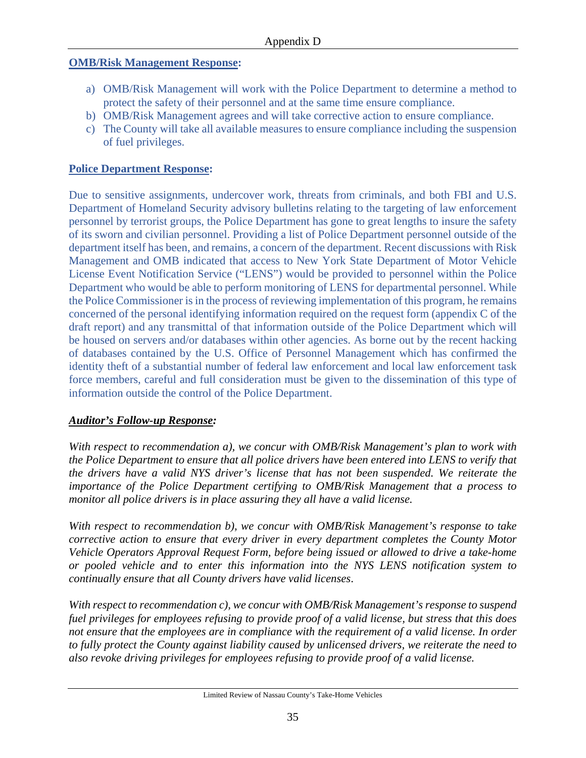#### **OMB/Risk Management Response:**

- a) OMB/Risk Management will work with the Police Department to determine a method to protect the safety of their personnel and at the same time ensure compliance.
- b) OMB/Risk Management agrees and will take corrective action to ensure compliance.
- c) The County will take all available measures to ensure compliance including the suspension of fuel privileges.

### **Police Department Response:**

Due to sensitive assignments, undercover work, threats from criminals, and both FBI and U.S. Department of Homeland Security advisory bulletins relating to the targeting of law enforcement personnel by terrorist groups, the Police Department has gone to great lengths to insure the safety of its sworn and civilian personnel. Providing a list of Police Department personnel outside of the department itself has been, and remains, a concern of the department. Recent discussions with Risk Management and OMB indicated that access to New York State Department of Motor Vehicle License Event Notification Service ("LENS") would be provided to personnel within the Police Department who would be able to perform monitoring of LENS for departmental personnel. While the Police Commissioner is in the process of reviewing implementation of this program, he remains concerned of the personal identifying information required on the request form (appendix C of the draft report) and any transmittal of that information outside of the Police Department which will be housed on servers and/or databases within other agencies. As borne out by the recent hacking of databases contained by the U.S. Office of Personnel Management which has confirmed the identity theft of a substantial number of federal law enforcement and local law enforcement task force members, careful and full consideration must be given to the dissemination of this type of information outside the control of the Police Department.

### *Auditor's Follow-up Response:*

*With respect to recommendation a), we concur with OMB/Risk Management's plan to work with the Police Department to ensure that all police drivers have been entered into LENS to verify that the drivers have a valid NYS driver's license that has not been suspended. We reiterate the importance of the Police Department certifying to OMB/Risk Management that a process to monitor all police drivers is in place assuring they all have a valid license.* 

*With respect to recommendation b), we concur with OMB/Risk Management's response to take corrective action to ensure that every driver in every department completes the County Motor Vehicle Operators Approval Request Form, before being issued or allowed to drive a take-home or pooled vehicle and to enter this information into the NYS LENS notification system to continually ensure that all County drivers have valid licenses*.

*With respect to recommendation c), we concur with OMB/Risk Management's response to suspend fuel privileges for employees refusing to provide proof of a valid license, but stress that this does not ensure that the employees are in compliance with the requirement of a valid license. In order to fully protect the County against liability caused by unlicensed drivers, we reiterate the need to also revoke driving privileges for employees refusing to provide proof of a valid license.*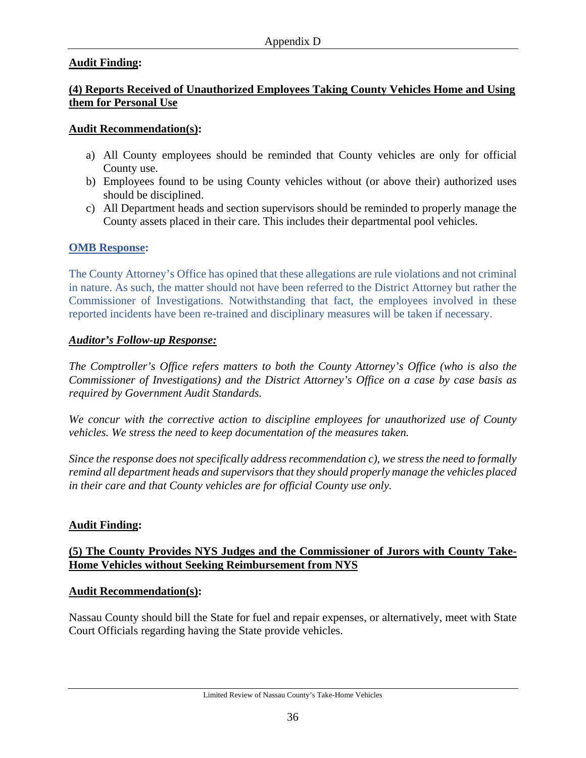## **Audit Finding:**

## **(4) Reports Received of Unauthorized Employees Taking County Vehicles Home and Using them for Personal Use**

#### **Audit Recommendation(s):**

- a) All County employees should be reminded that County vehicles are only for official County use.
- b) Employees found to be using County vehicles without (or above their) authorized uses should be disciplined.
- c) All Department heads and section supervisors should be reminded to properly manage the County assets placed in their care. This includes their departmental pool vehicles.

### **OMB Response:**

The County Attorney's Office has opined that these allegations are rule violations and not criminal in nature. As such, the matter should not have been referred to the District Attorney but rather the Commissioner of Investigations. Notwithstanding that fact, the employees involved in these reported incidents have been re-trained and disciplinary measures will be taken if necessary.

#### *Auditor's Follow-up Response:*

*The Comptroller's Office refers matters to both the County Attorney's Office (who is also the Commissioner of Investigations) and the District Attorney's Office on a case by case basis as required by Government Audit Standards.* 

*We concur with the corrective action to discipline employees for unauthorized use of County vehicles. We stress the need to keep documentation of the measures taken.* 

*Since the response does not specifically address recommendation c), we stress the need to formally remind all department heads and supervisors that they should properly manage the vehicles placed in their care and that County vehicles are for official County use only.* 

### **Audit Finding:**

## **(5) The County Provides NYS Judges and the Commissioner of Jurors with County Take-Home Vehicles without Seeking Reimbursement from NYS**

#### **Audit Recommendation(s):**

Nassau County should bill the State for fuel and repair expenses, or alternatively, meet with State Court Officials regarding having the State provide vehicles.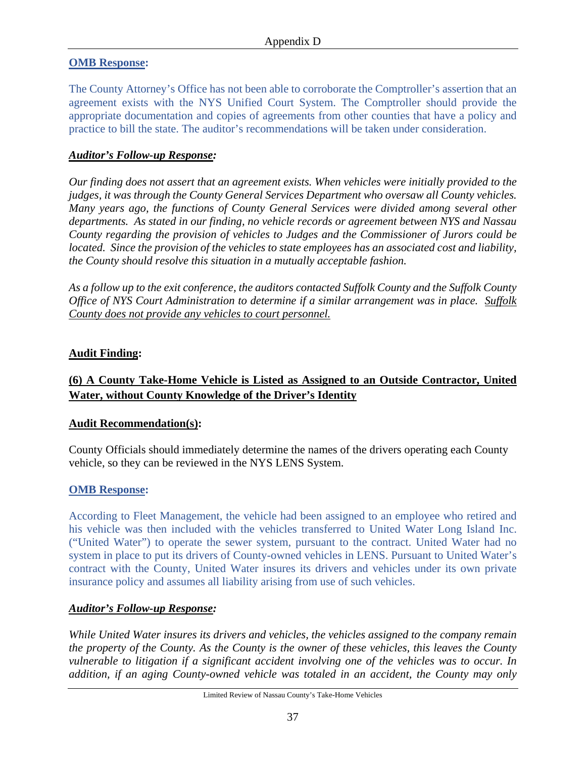#### **OMB Response:**

The County Attorney's Office has not been able to corroborate the Comptroller's assertion that an agreement exists with the NYS Unified Court System. The Comptroller should provide the appropriate documentation and copies of agreements from other counties that have a policy and practice to bill the state. The auditor's recommendations will be taken under consideration.

#### *Auditor's Follow-up Response:*

*Our finding does not assert that an agreement exists. When vehicles were initially provided to the judges, it was through the County General Services Department who oversaw all County vehicles. Many years ago, the functions of County General Services were divided among several other departments. As stated in our finding, no vehicle records or agreement between NYS and Nassau County regarding the provision of vehicles to Judges and the Commissioner of Jurors could be located. Since the provision of the vehicles to state employees has an associated cost and liability, the County should resolve this situation in a mutually acceptable fashion.* 

*As a follow up to the exit conference, the auditors contacted Suffolk County and the Suffolk County Office of NYS Court Administration to determine if a similar arrangement was in place. Suffolk County does not provide any vehicles to court personnel.* 

#### **Audit Finding:**

## **(6) A County Take-Home Vehicle is Listed as Assigned to an Outside Contractor, United Water, without County Knowledge of the Driver's Identity**

#### **Audit Recommendation(s):**

County Officials should immediately determine the names of the drivers operating each County vehicle, so they can be reviewed in the NYS LENS System.

#### **OMB Response:**

According to Fleet Management, the vehicle had been assigned to an employee who retired and his vehicle was then included with the vehicles transferred to United Water Long Island Inc. ("United Water") to operate the sewer system, pursuant to the contract. United Water had no system in place to put its drivers of County-owned vehicles in LENS. Pursuant to United Water's contract with the County, United Water insures its drivers and vehicles under its own private insurance policy and assumes all liability arising from use of such vehicles.

### *Auditor's Follow-up Response:*

*While United Water insures its drivers and vehicles, the vehicles assigned to the company remain the property of the County. As the County is the owner of these vehicles, this leaves the County vulnerable to litigation if a significant accident involving one of the vehicles was to occur. In addition, if an aging County-owned vehicle was totaled in an accident, the County may only*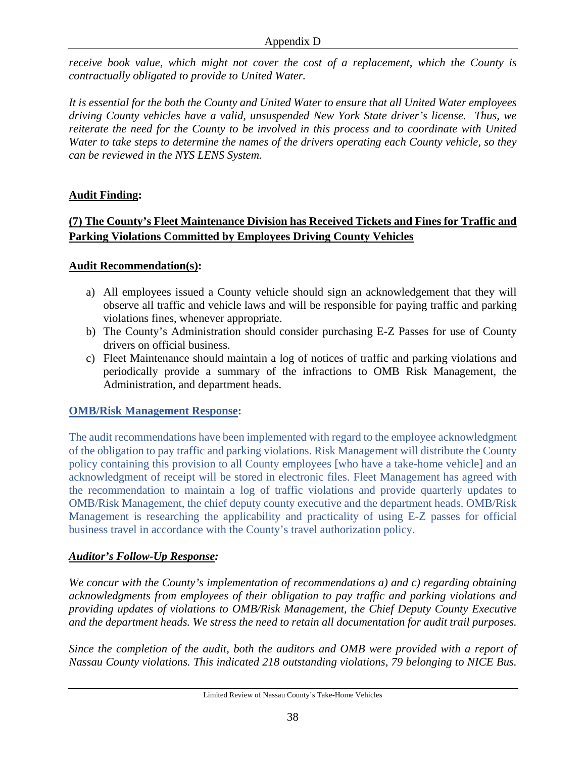*receive book value, which might not cover the cost of a replacement, which the County is contractually obligated to provide to United Water.* 

*It is essential for the both the County and United Water to ensure that all United Water employees driving County vehicles have a valid, unsuspended New York State driver's license. Thus, we reiterate the need for the County to be involved in this process and to coordinate with United Water to take steps to determine the names of the drivers operating each County vehicle, so they can be reviewed in the NYS LENS System.* 

## **Audit Finding:**

## **(7) The County's Fleet Maintenance Division has Received Tickets and Fines for Traffic and Parking Violations Committed by Employees Driving County Vehicles**

### **Audit Recommendation(s):**

- a) All employees issued a County vehicle should sign an acknowledgement that they will observe all traffic and vehicle laws and will be responsible for paying traffic and parking violations fines, whenever appropriate.
- b) The County's Administration should consider purchasing E-Z Passes for use of County drivers on official business.
- c) Fleet Maintenance should maintain a log of notices of traffic and parking violations and periodically provide a summary of the infractions to OMB Risk Management, the Administration, and department heads.

### **OMB/Risk Management Response:**

The audit recommendations have been implemented with regard to the employee acknowledgment of the obligation to pay traffic and parking violations. Risk Management will distribute the County policy containing this provision to all County employees [who have a take-home vehicle] and an acknowledgment of receipt will be stored in electronic files. Fleet Management has agreed with the recommendation to maintain a log of traffic violations and provide quarterly updates to OMB/Risk Management, the chief deputy county executive and the department heads. OMB/Risk Management is researching the applicability and practicality of using E-Z passes for official business travel in accordance with the County's travel authorization policy.

## *Auditor's Follow-Up Response:*

*We concur with the County's implementation of recommendations a) and c) regarding obtaining acknowledgments from employees of their obligation to pay traffic and parking violations and providing updates of violations to OMB/Risk Management, the Chief Deputy County Executive and the department heads. We stress the need to retain all documentation for audit trail purposes.* 

*Since the completion of the audit, both the auditors and OMB were provided with a report of Nassau County violations. This indicated 218 outstanding violations, 79 belonging to NICE Bus.*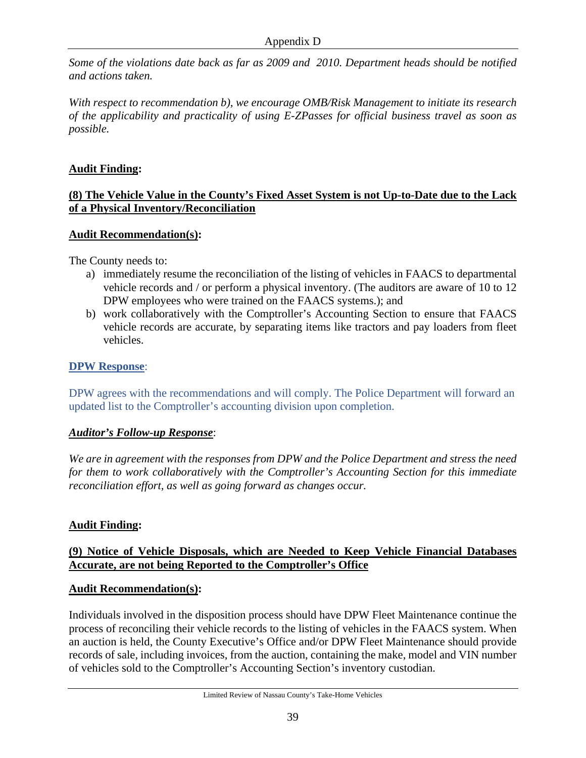*Some of the violations date back as far as 2009 and 2010. Department heads should be notified and actions taken.* 

*With respect to recommendation b), we encourage OMB/Risk Management to initiate its research of the applicability and practicality of using E-ZPasses for official business travel as soon as possible.* 

## **Audit Finding:**

### **(8) The Vehicle Value in the County's Fixed Asset System is not Up-to-Date due to the Lack of a Physical Inventory/Reconciliation**

### **Audit Recommendation(s):**

The County needs to:

- a) immediately resume the reconciliation of the listing of vehicles in FAACS to departmental vehicle records and / or perform a physical inventory. (The auditors are aware of 10 to 12 DPW employees who were trained on the FAACS systems.); and
- b) work collaboratively with the Comptroller's Accounting Section to ensure that FAACS vehicle records are accurate, by separating items like tractors and pay loaders from fleet vehicles.

## **DPW Response**:

DPW agrees with the recommendations and will comply. The Police Department will forward an updated list to the Comptroller's accounting division upon completion.

### *Auditor's Follow-up Response*:

*We are in agreement with the responses from DPW and the Police Department and stress the need for them to work collaboratively with the Comptroller's Accounting Section for this immediate reconciliation effort, as well as going forward as changes occur.* 

## **Audit Finding:**

## **(9) Notice of Vehicle Disposals, which are Needed to Keep Vehicle Financial Databases Accurate, are not being Reported to the Comptroller's Office**

### **Audit Recommendation(s):**

Individuals involved in the disposition process should have DPW Fleet Maintenance continue the process of reconciling their vehicle records to the listing of vehicles in the FAACS system. When an auction is held, the County Executive's Office and/or DPW Fleet Maintenance should provide records of sale, including invoices, from the auction, containing the make, model and VIN number of vehicles sold to the Comptroller's Accounting Section's inventory custodian.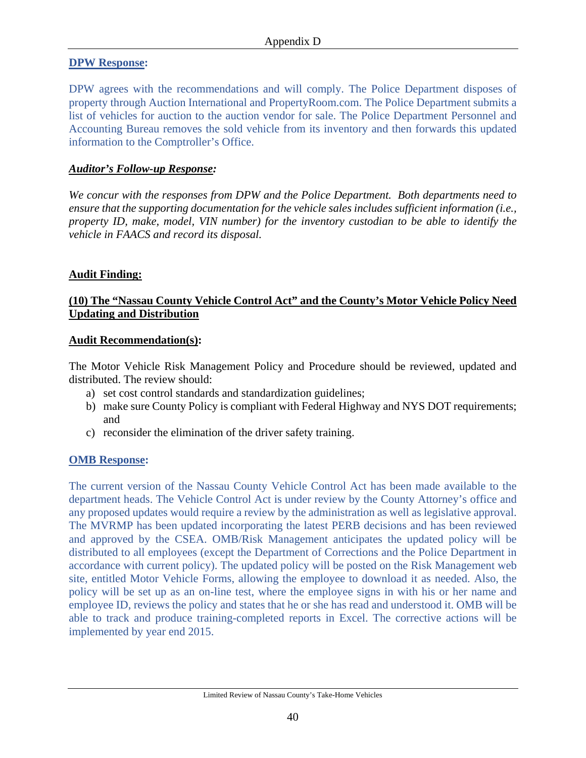#### **DPW Response:**

DPW agrees with the recommendations and will comply. The Police Department disposes of property through Auction International and PropertyRoom.com. The Police Department submits a list of vehicles for auction to the auction vendor for sale. The Police Department Personnel and Accounting Bureau removes the sold vehicle from its inventory and then forwards this updated information to the Comptroller's Office.

#### *Auditor's Follow-up Response:*

*We concur with the responses from DPW and the Police Department. Both departments need to ensure that the supporting documentation for the vehicle sales includes sufficient information (i.e., property ID, make, model, VIN number) for the inventory custodian to be able to identify the vehicle in FAACS and record its disposal.* 

#### **Audit Finding:**

### **(10) The "Nassau County Vehicle Control Act" and the County's Motor Vehicle Policy Need Updating and Distribution**

#### **Audit Recommendation(s):**

The Motor Vehicle Risk Management Policy and Procedure should be reviewed, updated and distributed. The review should:

- a) set cost control standards and standardization guidelines;
- b) make sure County Policy is compliant with Federal Highway and NYS DOT requirements; and
- c) reconsider the elimination of the driver safety training.

#### **OMB Response:**

The current version of the Nassau County Vehicle Control Act has been made available to the department heads. The Vehicle Control Act is under review by the County Attorney's office and any proposed updates would require a review by the administration as well as legislative approval. The MVRMP has been updated incorporating the latest PERB decisions and has been reviewed and approved by the CSEA. OMB/Risk Management anticipates the updated policy will be distributed to all employees (except the Department of Corrections and the Police Department in accordance with current policy). The updated policy will be posted on the Risk Management web site, entitled Motor Vehicle Forms, allowing the employee to download it as needed. Also, the policy will be set up as an on-line test, where the employee signs in with his or her name and employee ID, reviews the policy and states that he or she has read and understood it. OMB will be able to track and produce training-completed reports in Excel. The corrective actions will be implemented by year end 2015.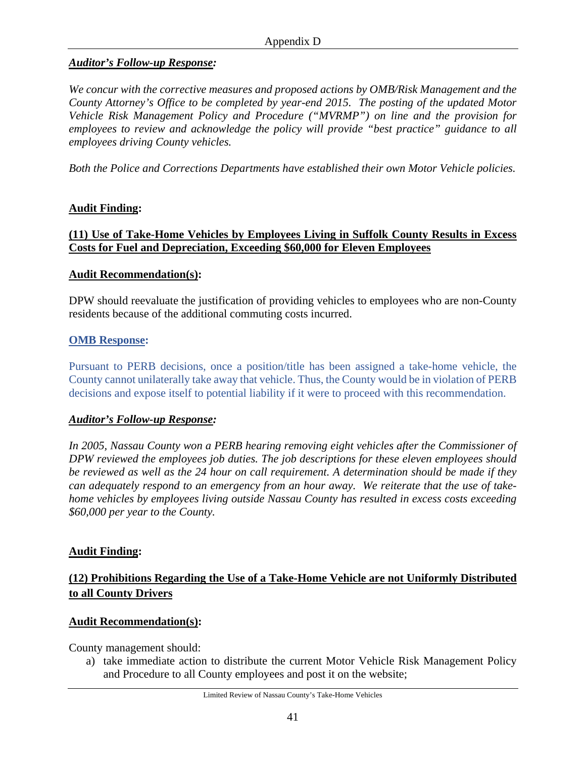#### *Auditor's Follow-up Response:*

*We concur with the corrective measures and proposed actions by OMB/Risk Management and the County Attorney's Office to be completed by year-end 2015. The posting of the updated Motor Vehicle Risk Management Policy and Procedure ("MVRMP") on line and the provision for employees to review and acknowledge the policy will provide "best practice" guidance to all employees driving County vehicles.* 

*Both the Police and Corrections Departments have established their own Motor Vehicle policies.* 

### **Audit Finding:**

#### **(11) Use of Take-Home Vehicles by Employees Living in Suffolk County Results in Excess Costs for Fuel and Depreciation, Exceeding \$60,000 for Eleven Employees**

#### **Audit Recommendation(s):**

DPW should reevaluate the justification of providing vehicles to employees who are non-County residents because of the additional commuting costs incurred.

#### **OMB Response:**

Pursuant to PERB decisions, once a position/title has been assigned a take-home vehicle, the County cannot unilaterally take away that vehicle. Thus, the County would be in violation of PERB decisions and expose itself to potential liability if it were to proceed with this recommendation.

#### *Auditor's Follow-up Response:*

*In 2005, Nassau County won a PERB hearing removing eight vehicles after the Commissioner of DPW reviewed the employees job duties. The job descriptions for these eleven employees should be reviewed as well as the 24 hour on call requirement. A determination should be made if they can adequately respond to an emergency from an hour away. We reiterate that the use of takehome vehicles by employees living outside Nassau County has resulted in excess costs exceeding \$60,000 per year to the County.* 

#### **Audit Finding:**

## **(12) Prohibitions Regarding the Use of a Take-Home Vehicle are not Uniformly Distributed to all County Drivers**

#### **Audit Recommendation(s):**

County management should:

a) take immediate action to distribute the current Motor Vehicle Risk Management Policy and Procedure to all County employees and post it on the website;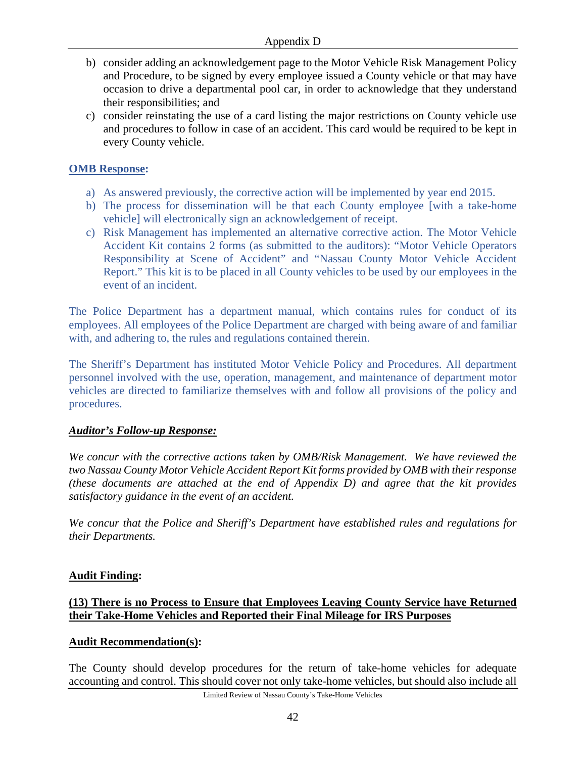- b) consider adding an acknowledgement page to the Motor Vehicle Risk Management Policy and Procedure, to be signed by every employee issued a County vehicle or that may have occasion to drive a departmental pool car, in order to acknowledge that they understand their responsibilities; and
- c) consider reinstating the use of a card listing the major restrictions on County vehicle use and procedures to follow in case of an accident. This card would be required to be kept in every County vehicle.

### **OMB Response:**

- a) As answered previously, the corrective action will be implemented by year end 2015.
- b) The process for dissemination will be that each County employee [with a take-home vehicle] will electronically sign an acknowledgement of receipt.
- c) Risk Management has implemented an alternative corrective action. The Motor Vehicle Accident Kit contains 2 forms (as submitted to the auditors): "Motor Vehicle Operators Responsibility at Scene of Accident" and "Nassau County Motor Vehicle Accident Report." This kit is to be placed in all County vehicles to be used by our employees in the event of an incident.

The Police Department has a department manual, which contains rules for conduct of its employees. All employees of the Police Department are charged with being aware of and familiar with, and adhering to, the rules and regulations contained therein.

The Sheriff's Department has instituted Motor Vehicle Policy and Procedures. All department personnel involved with the use, operation, management, and maintenance of department motor vehicles are directed to familiarize themselves with and follow all provisions of the policy and procedures.

### *Auditor's Follow-up Response:*

*We concur with the corrective actions taken by OMB/Risk Management. We have reviewed the two Nassau County Motor Vehicle Accident Report Kit forms provided by OMB with their response (these documents are attached at the end of Appendix D) and agree that the kit provides satisfactory guidance in the event of an accident.* 

*We concur that the Police and Sheriff's Department have established rules and regulations for their Departments.* 

#### **Audit Finding:**

### **(13) There is no Process to Ensure that Employees Leaving County Service have Returned their Take-Home Vehicles and Reported their Final Mileage for IRS Purposes**

#### **Audit Recommendation(s):**

The County should develop procedures for the return of take-home vehicles for adequate accounting and control. This should cover not only take-home vehicles, but should also include all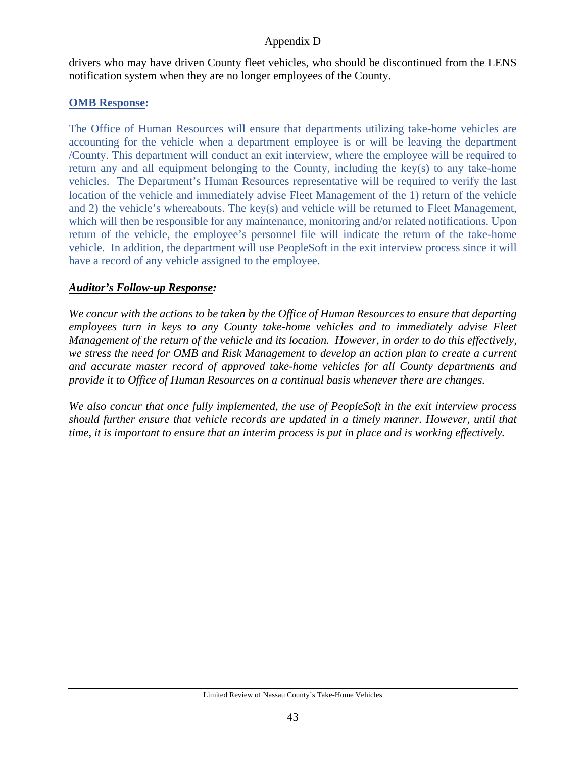drivers who may have driven County fleet vehicles, who should be discontinued from the LENS notification system when they are no longer employees of the County.

#### **OMB Response:**

The Office of Human Resources will ensure that departments utilizing take-home vehicles are accounting for the vehicle when a department employee is or will be leaving the department /County. This department will conduct an exit interview, where the employee will be required to return any and all equipment belonging to the County, including the key(s) to any take-home vehicles. The Department's Human Resources representative will be required to verify the last location of the vehicle and immediately advise Fleet Management of the 1) return of the vehicle and 2) the vehicle's whereabouts. The key(s) and vehicle will be returned to Fleet Management, which will then be responsible for any maintenance, monitoring and/or related notifications. Upon return of the vehicle, the employee's personnel file will indicate the return of the take-home vehicle. In addition, the department will use PeopleSoft in the exit interview process since it will have a record of any vehicle assigned to the employee.

### *Auditor's Follow-up Response:*

*We concur with the actions to be taken by the Office of Human Resources to ensure that departing employees turn in keys to any County take-home vehicles and to immediately advise Fleet Management of the return of the vehicle and its location. However, in order to do this effectively, we stress the need for OMB and Risk Management to develop an action plan to create a current and accurate master record of approved take-home vehicles for all County departments and provide it to Office of Human Resources on a continual basis whenever there are changes.* 

*We also concur that once fully implemented, the use of PeopleSoft in the exit interview process should further ensure that vehicle records are updated in a timely manner. However, until that time, it is important to ensure that an interim process is put in place and is working effectively.*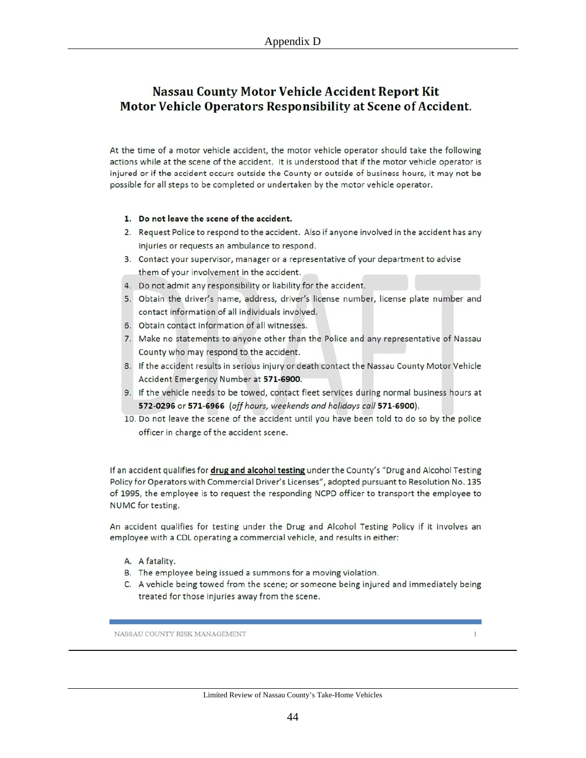## **Nassau County Motor Vehicle Accident Report Kit** Motor Vehicle Operators Responsibility at Scene of Accident.

At the time of a motor vehicle accident, the motor vehicle operator should take the following actions while at the scene of the accident. It is understood that if the motor vehicle operator is injured or if the accident occurs outside the County or outside of business hours, it may not be possible for all steps to be completed or undertaken by the motor vehicle operator.

#### 1. Do not leave the scene of the accident.

- 2. Request Police to respond to the accident. Also if anyone involved in the accident has any injuries or requests an ambulance to respond.
- 3. Contact your supervisor, manager or a representative of your department to advise them of your involvement in the accident.
- 4. Do not admit any responsibility or liability for the accident.
- 5. Obtain the driver's name, address, driver's license number, license plate number and contact information of all individuals involved.
- 6. Obtain contact information of all witnesses.
- 7. Make no statements to anyone other than the Police and any representative of Nassau County who may respond to the accident.
- 8. If the accident results in serious injury or death contact the Nassau County Motor Vehicle Accident Emergency Number at 571-6900.
- 9. If the vehicle needs to be towed, contact fleet services during normal business hours at 572-0296 or 571-6966 (off hours, weekends and holidays call 571-6900).
- 10. Do not leave the scene of the accident until you have been told to do so by the police officer in charge of the accident scene.

If an accident qualifies for drug and alcohol testing under the County's "Drug and Alcohol Testing Policy for Operators with Commercial Driver's Licenses", adopted pursuant to Resolution No. 135 of 1995, the employee is to request the responding NCPD officer to transport the employee to NUMC for testing.

An accident qualifies for testing under the Drug and Alcohol Testing Policy if it involves an employee with a CDL operating a commercial vehicle, and results in either:

- A. A fatality.
- B. The employee being issued a summons for a moving violation.
- C. A vehicle being towed from the scene; or someone being injured and immediately being treated for those injuries away from the scene.

NASSAU COUNTY RISK MANAGEMENT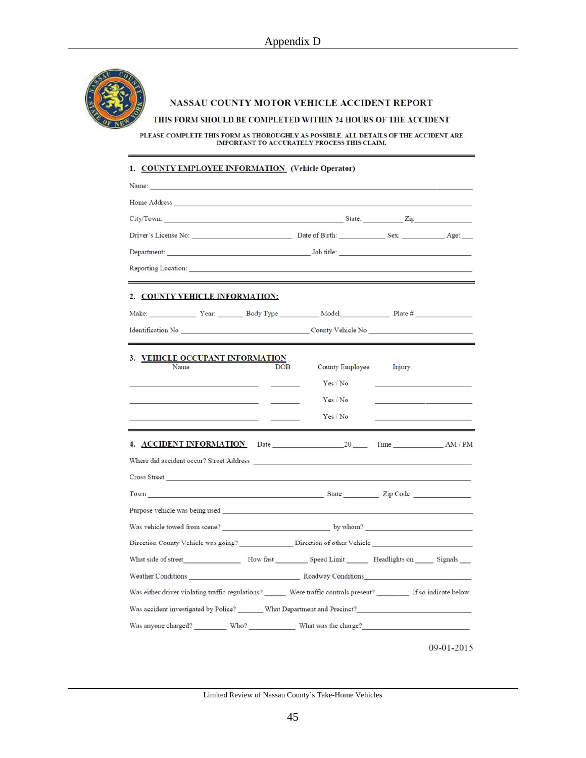

#### NASSAU COUNTY MOTOR VEHICLE ACCIDENT REPORT

#### THIS FORM SHOULD BE COMPLETED WITHIN 24 HOURS OF THE ACCIDENT

PLEASE COMPLETE THIS FORM AS THOROUGHLY AS POSSIBLE. ALL DETAILS OF THE ACCIDENT ARE IMPORTANT TO ACCURATELY PROCESS THIS CLAIM.

#### 1. COUNTY EMPLOYEE INFORMATION (Vehicle Operator)

| Name:                                                                                                                                                                                                                          |                                                                                 |                    |
|--------------------------------------------------------------------------------------------------------------------------------------------------------------------------------------------------------------------------------|---------------------------------------------------------------------------------|--------------------|
|                                                                                                                                                                                                                                |                                                                                 |                    |
| City/Town: State: Zip                                                                                                                                                                                                          |                                                                                 |                    |
|                                                                                                                                                                                                                                |                                                                                 |                    |
|                                                                                                                                                                                                                                |                                                                                 |                    |
| Reporting Location:                                                                                                                                                                                                            | <u> 1989 - Andrea Andrew Maria (h. 1989).</u><br>1905 - Andrew Maria (h. 1906). |                    |
| 2. COUNTY VEHICLE INFORMATION:                                                                                                                                                                                                 |                                                                                 |                    |
|                                                                                                                                                                                                                                |                                                                                 |                    |
|                                                                                                                                                                                                                                |                                                                                 |                    |
| 3. VEHICLE OCCUPANT INFORMATION<br>Name                                                                                                                                                                                        | DOB<br><b>County Employee</b>                                                   | Injury             |
|                                                                                                                                                                                                                                | Yes / No                                                                        |                    |
|                                                                                                                                                                                                                                | Yes / No                                                                        |                    |
|                                                                                                                                                                                                                                | Yes / No                                                                        |                    |
| <b>4. ACCIDENT INFORMATION</b>                                                                                                                                                                                                 |                                                                                 | Date 20 Time AM/PM |
|                                                                                                                                                                                                                                |                                                                                 |                    |
| Cross Street <u>Contract Communication</u>                                                                                                                                                                                     |                                                                                 |                    |
| Town Town 21p Code                                                                                                                                                                                                             |                                                                                 |                    |
| Purpose vehicle was being used good and the contract of the contract of the contract of the contract of the contract of the contract of the contract of the contract of the contract of the contract of the contract of the co |                                                                                 |                    |
|                                                                                                                                                                                                                                |                                                                                 |                    |
|                                                                                                                                                                                                                                |                                                                                 |                    |
|                                                                                                                                                                                                                                |                                                                                 |                    |
| Weather Conditions Roadway Conditions                                                                                                                                                                                          |                                                                                 |                    |
| Was either driver violating traffic regulations? ________ Were traffic controls present? __________ If so indicate below.                                                                                                      |                                                                                 |                    |
| Was accident investigated by Police? _______ What Department and Precinct?                                                                                                                                                     |                                                                                 |                    |
|                                                                                                                                                                                                                                |                                                                                 |                    |
|                                                                                                                                                                                                                                |                                                                                 | $09 - 01 - 2015$   |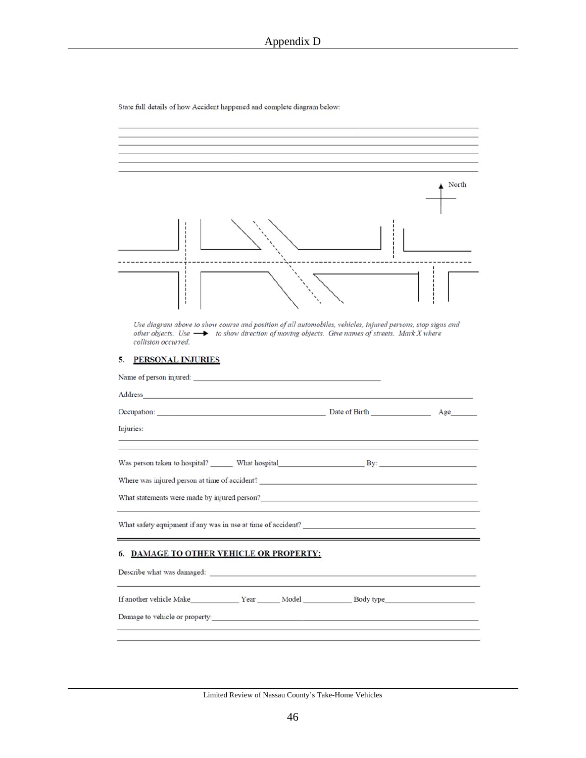State full details of how Accident happened and complete diagram below:

|                                                                                                                                                                                                                                                     | North |
|-----------------------------------------------------------------------------------------------------------------------------------------------------------------------------------------------------------------------------------------------------|-------|
|                                                                                                                                                                                                                                                     |       |
|                                                                                                                                                                                                                                                     |       |
| Use diagram above to show course and position of all automobiles, vehicles, injured persons, stop signs and<br>other objects. Use $\longrightarrow$ to show direction of moving objects. Give names of streets. Mark X where<br>collision occurred. |       |
| <b>PERSONAL INJURIES</b><br>5.                                                                                                                                                                                                                      |       |
|                                                                                                                                                                                                                                                     |       |
| Address<br><u> 1989 - Johann Barbara, martxa alemaniar a</u>                                                                                                                                                                                        |       |
| Occupation: Date of Birth Date of Birth                                                                                                                                                                                                             | Age   |
| Injuries:                                                                                                                                                                                                                                           |       |
|                                                                                                                                                                                                                                                     |       |
| Where was injured person at time of accident?                                                                                                                                                                                                       |       |
| What statements were made by injured person?<br><u>Examples 2006</u>                                                                                                                                                                                |       |
| What safety equipment if any was in use at time of accident?                                                                                                                                                                                        |       |
| 6. DAMAGE TO OTHER VEHICLE OR PROPERTY:                                                                                                                                                                                                             |       |
| Describe what was damaged: Note that was a state of the state of the state of the state of the state of the state of the state of the state of the state of the state of the state of the state of the state of the state of t                      |       |
|                                                                                                                                                                                                                                                     |       |
| If another vehicle Make Year Model Body type Body type                                                                                                                                                                                              |       |